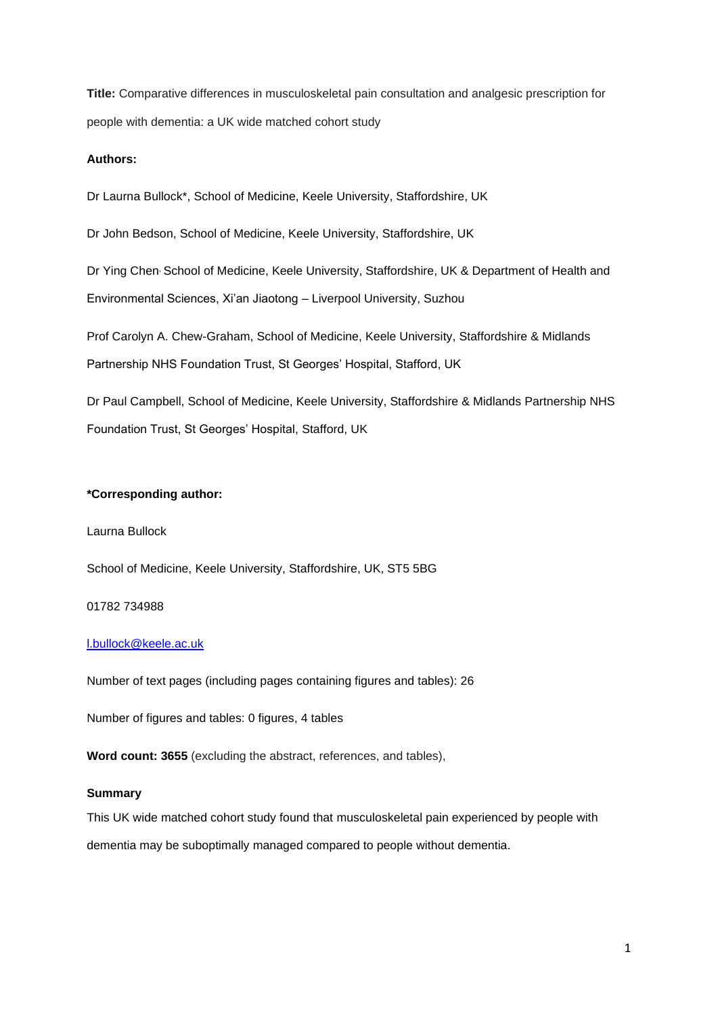**Title:** Comparative differences in musculoskeletal pain consultation and analgesic prescription for people with dementia: a UK wide matched cohort study

## **Authors:**

Dr Laurna Bullock\*, School of Medicine, Keele University, Staffordshire, UK

Dr John Bedson, School of Medicine, Keele University, Staffordshire, UK

Dr Ying Chen, School of Medicine, Keele University, Staffordshire, UK & Department of Health and Environmental Sciences, Xi'an Jiaotong – Liverpool University, Suzhou

Prof Carolyn A. Chew-Graham, School of Medicine, Keele University, Staffordshire & Midlands Partnership NHS Foundation Trust, St Georges' Hospital, Stafford, UK

Dr Paul Campbell, School of Medicine, Keele University, Staffordshire & Midlands Partnership NHS Foundation Trust, St Georges' Hospital, Stafford, UK

## **\*Corresponding author:**

Laurna Bullock

School of Medicine, Keele University, Staffordshire, UK, ST5 5BG

## 01782 734988

# [l.bullock@keele.ac.uk](mailto:l.bullock@keele.ac.uk)

Number of text pages (including pages containing figures and tables): 26

Number of figures and tables: 0 figures, 4 tables

**Word count: 3655** (excluding the abstract, references, and tables),

## **Summary**

This UK wide matched cohort study found that musculoskeletal pain experienced by people with dementia may be suboptimally managed compared to people without dementia.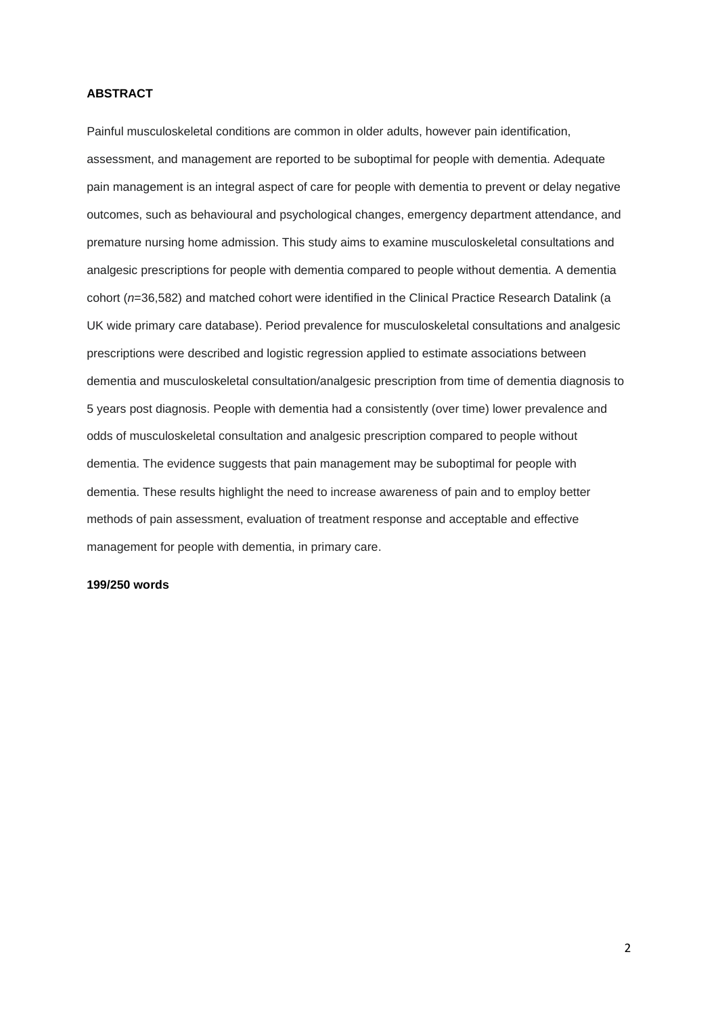## **ABSTRACT**

Painful musculoskeletal conditions are common in older adults, however pain identification, assessment, and management are reported to be suboptimal for people with dementia. Adequate pain management is an integral aspect of care for people with dementia to prevent or delay negative outcomes, such as behavioural and psychological changes, emergency department attendance, and premature nursing home admission. This study aims to examine musculoskeletal consultations and analgesic prescriptions for people with dementia compared to people without dementia. A dementia cohort (*n*=36,582) and matched cohort were identified in the Clinical Practice Research Datalink (a UK wide primary care database). Period prevalence for musculoskeletal consultations and analgesic prescriptions were described and logistic regression applied to estimate associations between dementia and musculoskeletal consultation/analgesic prescription from time of dementia diagnosis to 5 years post diagnosis. People with dementia had a consistently (over time) lower prevalence and odds of musculoskeletal consultation and analgesic prescription compared to people without dementia. The evidence suggests that pain management may be suboptimal for people with dementia. These results highlight the need to increase awareness of pain and to employ better methods of pain assessment, evaluation of treatment response and acceptable and effective management for people with dementia, in primary care.

## **199/250 words**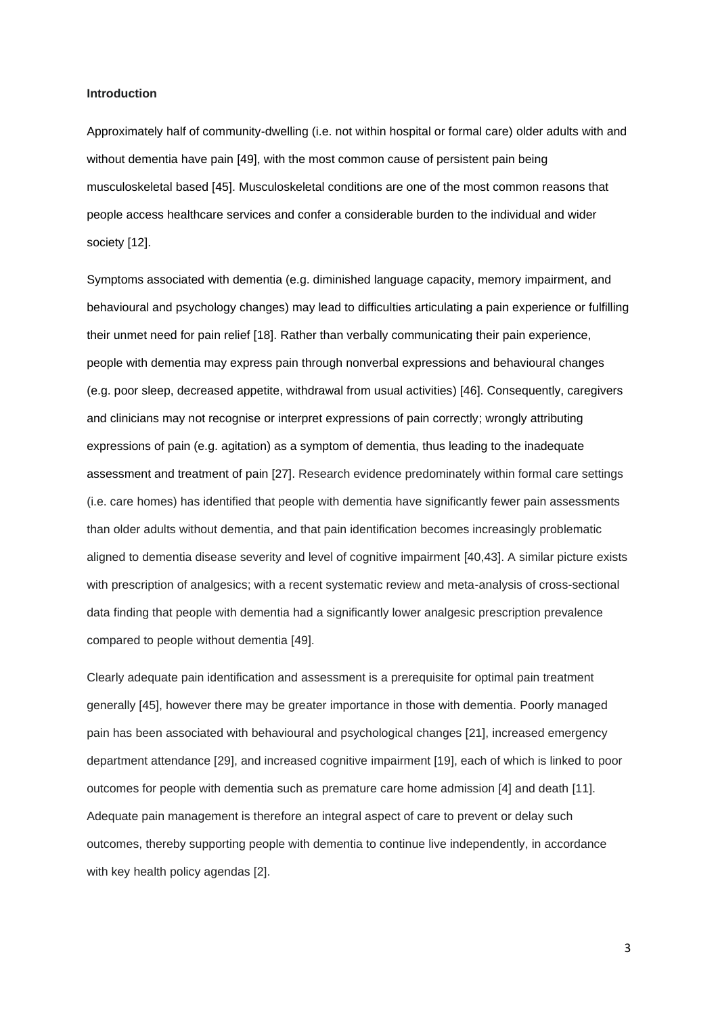#### **Introduction**

Approximately half of community-dwelling (i.e. not within hospital or formal care) older adults with and without dementia have pain [49], with the most common cause of persistent pain being musculoskeletal based [45]. Musculoskeletal conditions are one of the most common reasons that people access healthcare services and confer a considerable burden to the individual and wider society [12].

Symptoms associated with dementia (e.g. diminished language capacity, memory impairment, and behavioural and psychology changes) may lead to difficulties articulating a pain experience or fulfilling their unmet need for pain relief [18]. Rather than verbally communicating their pain experience, people with dementia may express pain through nonverbal expressions and behavioural changes (e.g. poor sleep, decreased appetite, withdrawal from usual activities) [46]. Consequently, caregivers and clinicians may not recognise or interpret expressions of pain correctly; wrongly attributing expressions of pain (e.g. agitation) as a symptom of dementia, thus leading to the inadequate assessment and treatment of pain [27]. Research evidence predominately within formal care settings (i.e. care homes) has identified that people with dementia have significantly fewer pain assessments than older adults without dementia, and that pain identification becomes increasingly problematic aligned to dementia disease severity and level of cognitive impairment [40,43]. A similar picture exists with prescription of analgesics; with a recent systematic review and meta-analysis of cross-sectional data finding that people with dementia had a significantly lower analgesic prescription prevalence compared to people without dementia [49].

Clearly adequate pain identification and assessment is a prerequisite for optimal pain treatment generally [45], however there may be greater importance in those with dementia. Poorly managed pain has been associated with behavioural and psychological changes [21], increased emergency department attendance [29], and increased cognitive impairment [19], each of which is linked to poor outcomes for people with dementia such as premature care home admission [4] and death [11]. Adequate pain management is therefore an integral aspect of care to prevent or delay such outcomes, thereby supporting people with dementia to continue live independently, in accordance with key health policy agendas [2].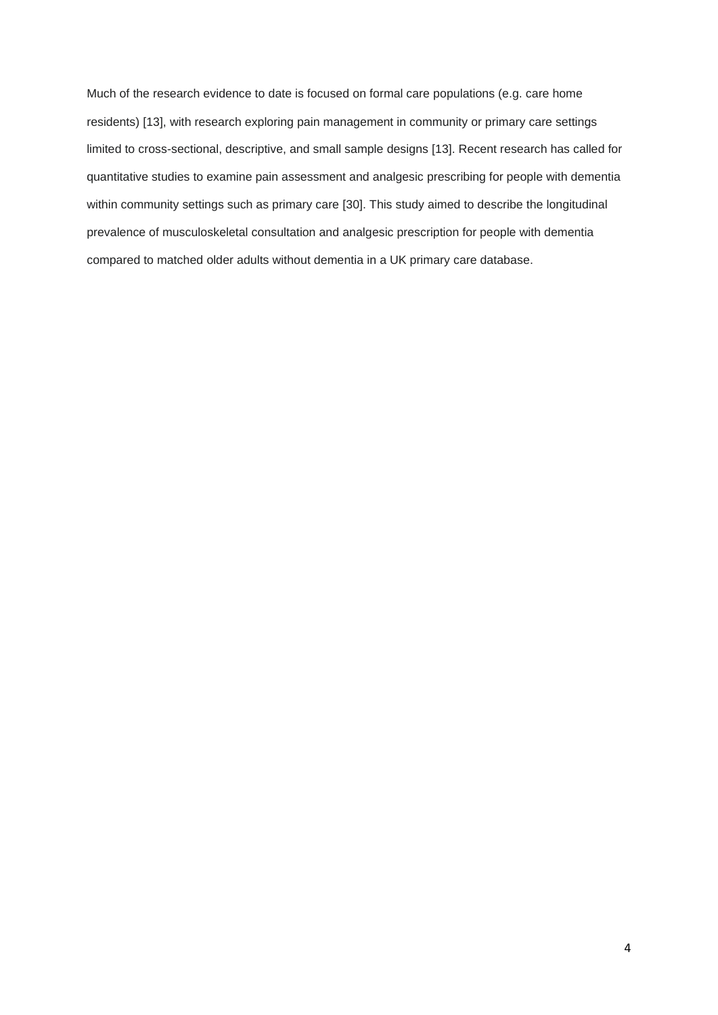Much of the research evidence to date is focused on formal care populations (e.g. care home residents) [13], with research exploring pain management in community or primary care settings limited to cross-sectional, descriptive, and small sample designs [13]. Recent research has called for quantitative studies to examine pain assessment and analgesic prescribing for people with dementia within community settings such as primary care [30]. This study aimed to describe the longitudinal prevalence of musculoskeletal consultation and analgesic prescription for people with dementia compared to matched older adults without dementia in a UK primary care database.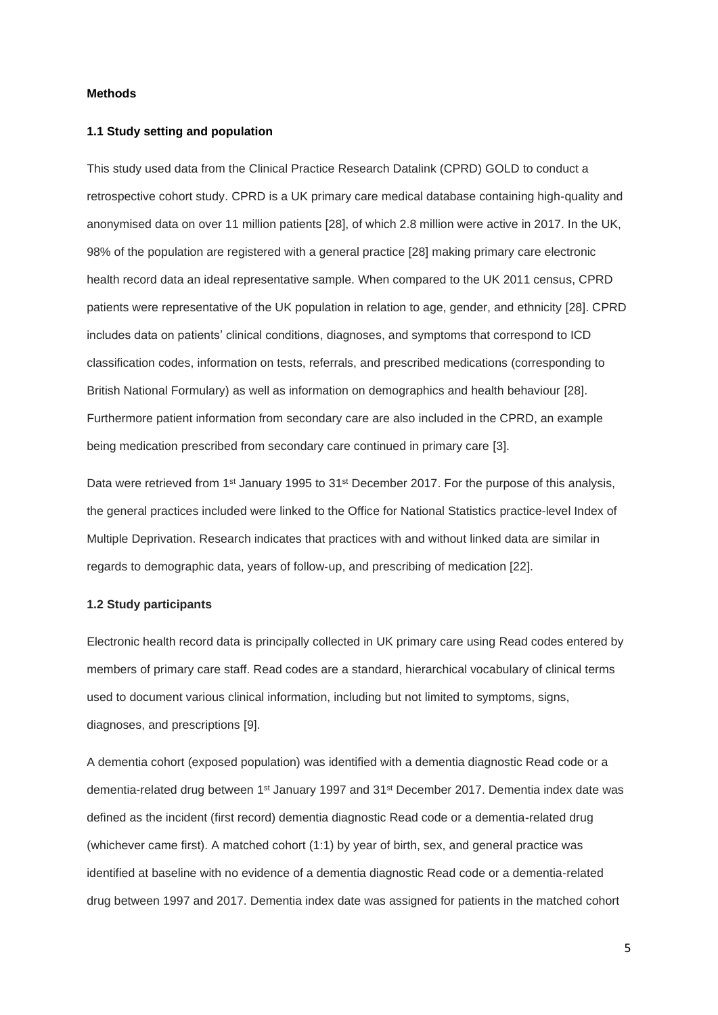## **Methods**

## **1.1 Study setting and population**

This study used data from the Clinical Practice Research Datalink (CPRD) GOLD to conduct a retrospective cohort study. CPRD is a UK primary care medical database containing high-quality and anonymised data on over 11 million patients [28], of which 2.8 million were active in 2017. In the UK, 98% of the population are registered with a general practice [28] making primary care electronic health record data an ideal representative sample. When compared to the UK 2011 census, CPRD patients were representative of the UK population in relation to age, gender, and ethnicity [28]. CPRD includes data on patients' clinical conditions, diagnoses, and symptoms that correspond to ICD classification codes, information on tests, referrals, and prescribed medications (corresponding to British National Formulary) as well as information on demographics and health behaviour [28]. Furthermore patient information from secondary care are also included in the CPRD, an example being medication prescribed from secondary care continued in primary care [3].

Data were retrieved from 1<sup>st</sup> January 1995 to 31<sup>st</sup> December 2017. For the purpose of this analysis, the general practices included were linked to the Office for National Statistics practice-level Index of Multiple Deprivation. Research indicates that practices with and without linked data are similar in regards to demographic data, years of follow‐up, and prescribing of medication [22].

# **1.2 Study participants**

Electronic health record data is principally collected in UK primary care using Read codes entered by members of primary care staff. Read codes are a standard, hierarchical vocabulary of clinical terms used to document various clinical information, including but not limited to symptoms, signs, diagnoses, and prescriptions [9].

A dementia cohort (exposed population) was identified with a dementia diagnostic Read code or a dementia-related drug between 1<sup>st</sup> January 1997 and 31<sup>st</sup> December 2017. Dementia index date was defined as the incident (first record) dementia diagnostic Read code or a dementia-related drug (whichever came first). A matched cohort (1:1) by year of birth, sex, and general practice was identified at baseline with no evidence of a dementia diagnostic Read code or a dementia-related drug between 1997 and 2017. Dementia index date was assigned for patients in the matched cohort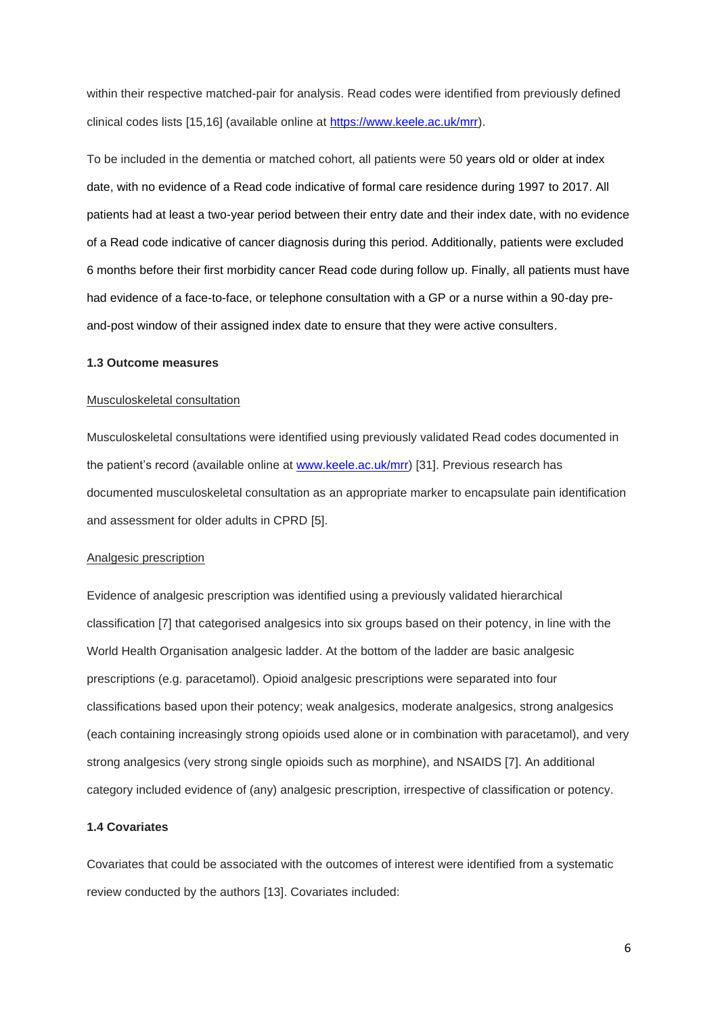within their respective matched-pair for analysis. Read codes were identified from previously defined clinical codes lists [15,16] (available online at [https://www.keele.ac.uk/mrr\)](https://www.keele.ac.uk/mrr).

To be included in the dementia or matched cohort, all patients were 50 years old or older at index date, with no evidence of a Read code indicative of formal care residence during 1997 to 2017. All patients had at least a two-year period between their entry date and their index date, with no evidence of a Read code indicative of cancer diagnosis during this period. Additionally, patients were excluded 6 months before their first morbidity cancer Read code during follow up. Finally, all patients must have had evidence of a face-to-face, or telephone consultation with a GP or a nurse within a 90-day preand-post window of their assigned index date to ensure that they were active consulters.

## **1.3 Outcome measures**

#### Musculoskeletal consultation

Musculoskeletal consultations were identified using previously validated Read codes documented in the patient's record (available online at [www.keele.ac.uk/mrr\)](http://www.keele.ac.uk/mrr) [31]. Previous research has documented musculoskeletal consultation as an appropriate marker to encapsulate pain identification and assessment for older adults in CPRD [5].

#### Analgesic prescription

Evidence of analgesic prescription was identified using a previously validated hierarchical classification [7] that categorised analgesics into six groups based on their potency, in line with the World Health Organisation analgesic ladder. At the bottom of the ladder are basic analgesic prescriptions (e.g. paracetamol). Opioid analgesic prescriptions were separated into four classifications based upon their potency; weak analgesics, moderate analgesics, strong analgesics (each containing increasingly strong opioids used alone or in combination with paracetamol), and very strong analgesics (very strong single opioids such as morphine), and NSAIDS [7]. An additional category included evidence of (any) analgesic prescription, irrespective of classification or potency.

# **1.4 Covariates**

Covariates that could be associated with the outcomes of interest were identified from a systematic review conducted by the authors [13]. Covariates included: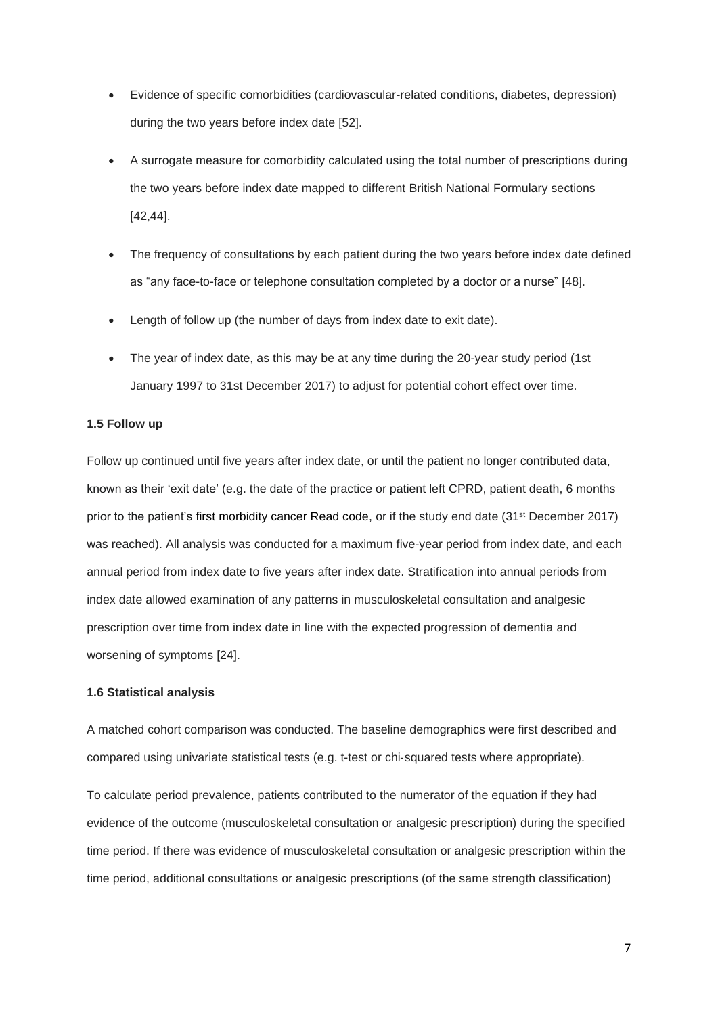- Evidence of specific comorbidities (cardiovascular-related conditions, diabetes, depression) during the two years before index date [52].
- A surrogate measure for comorbidity calculated using the total number of prescriptions during the two years before index date mapped to different British National Formulary sections [42,44].
- The frequency of consultations by each patient during the two years before index date defined as "any face-to-face or telephone consultation completed by a doctor or a nurse" [48].
- Length of follow up (the number of days from index date to exit date).
- The year of index date, as this may be at any time during the 20-year study period (1st January 1997 to 31st December 2017) to adjust for potential cohort effect over time.

## **1.5 Follow up**

Follow up continued until five years after index date, or until the patient no longer contributed data, known as their 'exit date' (e.g. the date of the practice or patient left CPRD, patient death, 6 months prior to the patient's first morbidity cancer Read code, or if the study end date (31<sup>st</sup> December 2017) was reached). All analysis was conducted for a maximum five-year period from index date, and each annual period from index date to five years after index date. Stratification into annual periods from index date allowed examination of any patterns in musculoskeletal consultation and analgesic prescription over time from index date in line with the expected progression of dementia and worsening of symptoms [24].

### **1.6 Statistical analysis**

A matched cohort comparison was conducted. The baseline demographics were first described and compared using univariate statistical tests (e.g. t-test or chi-squared tests where appropriate).

To calculate period prevalence, patients contributed to the numerator of the equation if they had evidence of the outcome (musculoskeletal consultation or analgesic prescription) during the specified time period. If there was evidence of musculoskeletal consultation or analgesic prescription within the time period, additional consultations or analgesic prescriptions (of the same strength classification)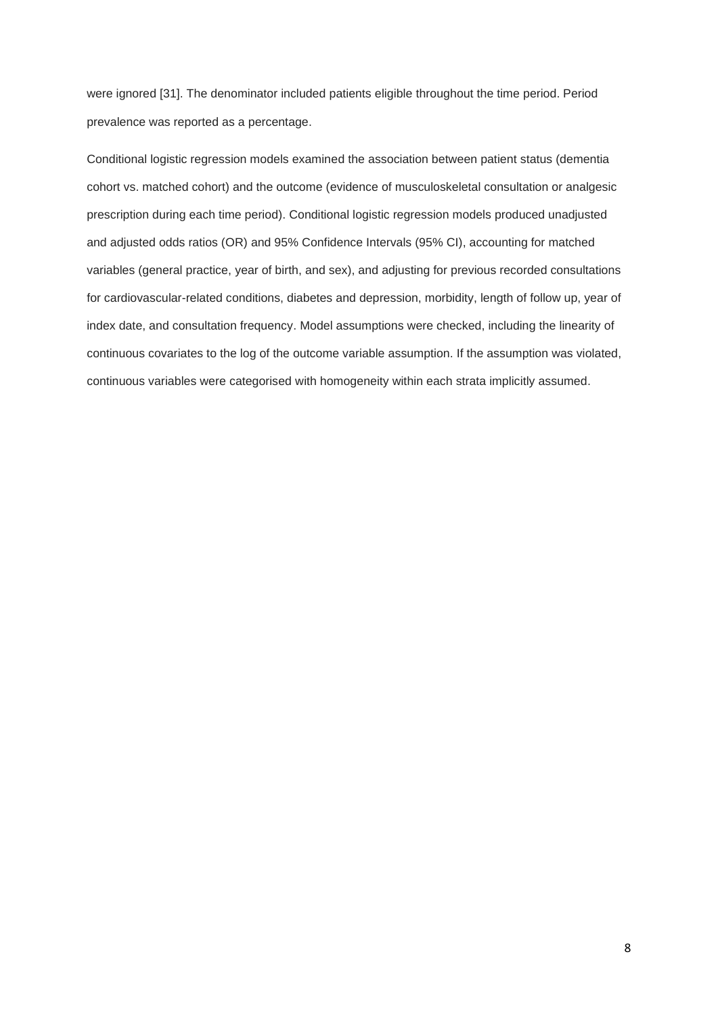were ignored [31]. The denominator included patients eligible throughout the time period. Period prevalence was reported as a percentage.

Conditional logistic regression models examined the association between patient status (dementia cohort vs. matched cohort) and the outcome (evidence of musculoskeletal consultation or analgesic prescription during each time period). Conditional logistic regression models produced unadjusted and adjusted odds ratios (OR) and 95% Confidence Intervals (95% CI), accounting for matched variables (general practice, year of birth, and sex), and adjusting for previous recorded consultations for cardiovascular-related conditions, diabetes and depression, morbidity, length of follow up, year of index date, and consultation frequency. Model assumptions were checked, including the linearity of continuous covariates to the log of the outcome variable assumption. If the assumption was violated, continuous variables were categorised with homogeneity within each strata implicitly assumed.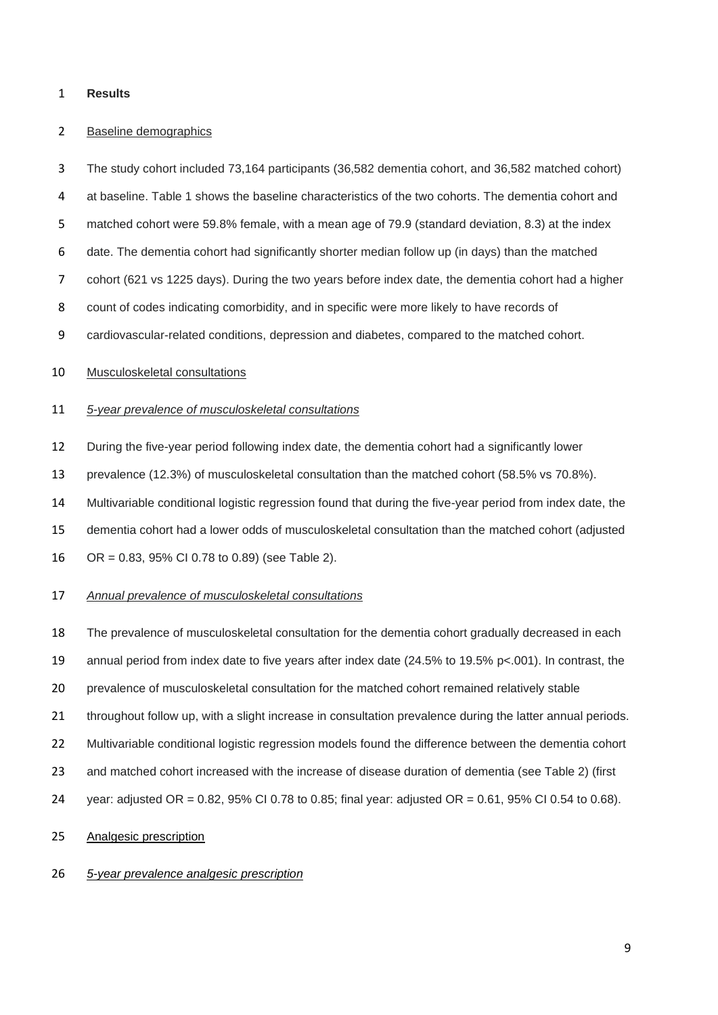## **Results**

#### Baseline demographics

The study cohort included 73,164 participants (36,582 dementia cohort, and 36,582 matched cohort)

at baseline. Table 1 shows the baseline characteristics of the two cohorts. The dementia cohort and

matched cohort were 59.8% female, with a mean age of 79.9 (standard deviation, 8.3) at the index

date. The dementia cohort had significantly shorter median follow up (in days) than the matched

cohort (621 vs 1225 days). During the two years before index date, the dementia cohort had a higher

count of codes indicating comorbidity, and in specific were more likely to have records of

cardiovascular-related conditions, depression and diabetes, compared to the matched cohort.

## Musculoskeletal consultations

### *5-year prevalence of musculoskeletal consultations*

During the five-year period following index date, the dementia cohort had a significantly lower

prevalence (12.3%) of musculoskeletal consultation than the matched cohort (58.5% vs 70.8%).

Multivariable conditional logistic regression found that during the five-year period from index date, the

dementia cohort had a lower odds of musculoskeletal consultation than the matched cohort (adjusted

OR = 0.83, 95% CI 0.78 to 0.89) (see Table 2).

## *Annual prevalence of musculoskeletal consultations*

The prevalence of musculoskeletal consultation for the dementia cohort gradually decreased in each

annual period from index date to five years after index date (24.5% to 19.5% p<.001). In contrast, the

prevalence of musculoskeletal consultation for the matched cohort remained relatively stable

throughout follow up, with a slight increase in consultation prevalence during the latter annual periods.

Multivariable conditional logistic regression models found the difference between the dementia cohort

- and matched cohort increased with the increase of disease duration of dementia (see Table 2) (first
- year: adjusted OR = 0.82, 95% CI 0.78 to 0.85; final year: adjusted OR = 0.61, 95% CI 0.54 to 0.68).

## Analgesic prescription

## *5-year prevalence analgesic prescription*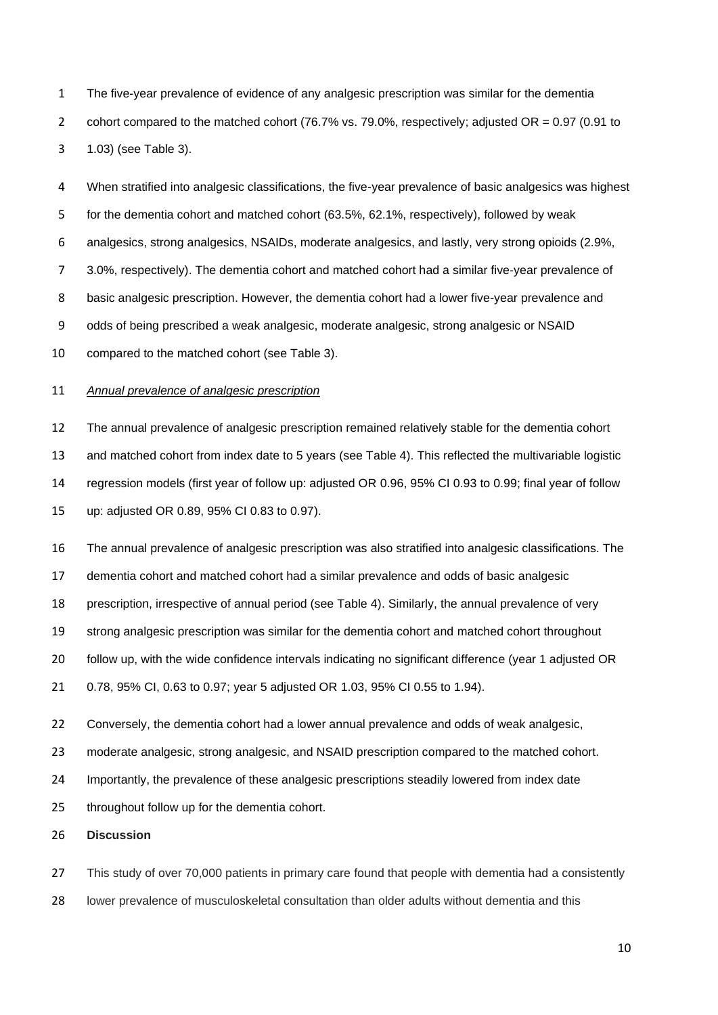The five-year prevalence of evidence of any analgesic prescription was similar for the dementia 2 cohort compared to the matched cohort (76.7% vs. 79.0%, respectively; adjusted OR = 0.97 (0.91 to 1.03) (see Table 3).

 When stratified into analgesic classifications, the five-year prevalence of basic analgesics was highest for the dementia cohort and matched cohort (63.5%, 62.1%, respectively), followed by weak analgesics, strong analgesics, NSAIDs, moderate analgesics, and lastly, very strong opioids (2.9%, 3.0%, respectively). The dementia cohort and matched cohort had a similar five-year prevalence of basic analgesic prescription. However, the dementia cohort had a lower five-year prevalence and odds of being prescribed a weak analgesic, moderate analgesic, strong analgesic or NSAID compared to the matched cohort (see Table 3).

# *Annual prevalence of analgesic prescription*

 The annual prevalence of analgesic prescription remained relatively stable for the dementia cohort and matched cohort from index date to 5 years (see Table 4). This reflected the multivariable logistic regression models (first year of follow up: adjusted OR 0.96, 95% CI 0.93 to 0.99; final year of follow up: adjusted OR 0.89, 95% CI 0.83 to 0.97).

 The annual prevalence of analgesic prescription was also stratified into analgesic classifications. The dementia cohort and matched cohort had a similar prevalence and odds of basic analgesic prescription, irrespective of annual period (see Table 4). Similarly, the annual prevalence of very strong analgesic prescription was similar for the dementia cohort and matched cohort throughout follow up, with the wide confidence intervals indicating no significant difference (year 1 adjusted OR 0.78, 95% CI, 0.63 to 0.97; year 5 adjusted OR 1.03, 95% CI 0.55 to 1.94).

 Conversely, the dementia cohort had a lower annual prevalence and odds of weak analgesic, moderate analgesic, strong analgesic, and NSAID prescription compared to the matched cohort. Importantly, the prevalence of these analgesic prescriptions steadily lowered from index date throughout follow up for the dementia cohort.

**Discussion** 

27 This study of over 70,000 patients in primary care found that people with dementia had a consistently

lower prevalence of musculoskeletal consultation than older adults without dementia and this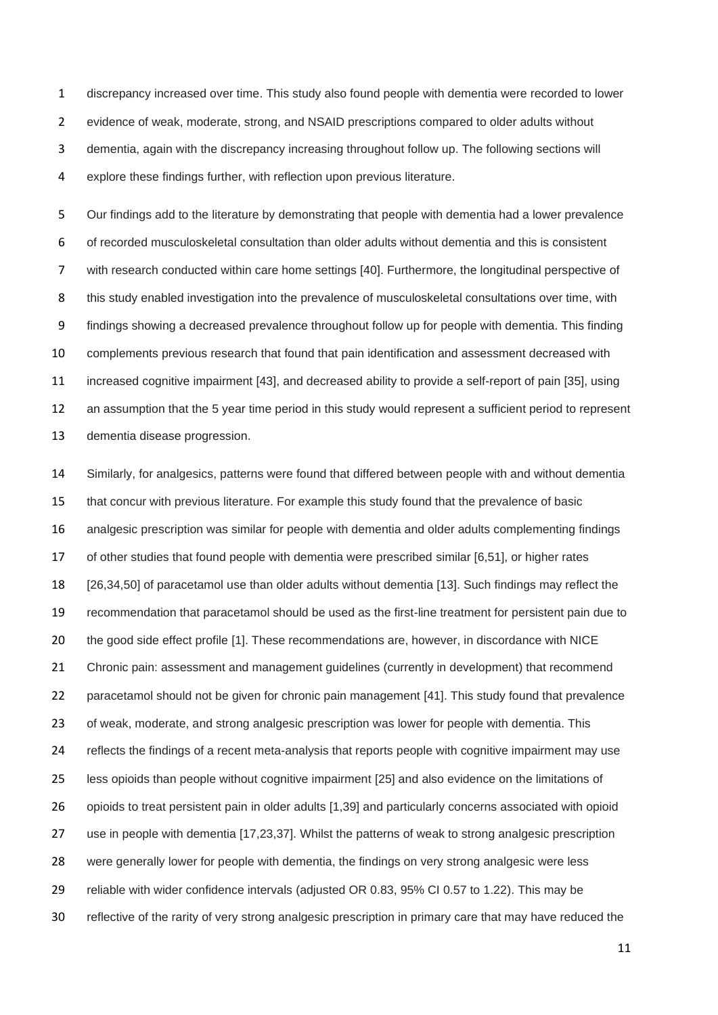discrepancy increased over time. This study also found people with dementia were recorded to lower evidence of weak, moderate, strong, and NSAID prescriptions compared to older adults without dementia, again with the discrepancy increasing throughout follow up. The following sections will explore these findings further, with reflection upon previous literature.

 Our findings add to the literature by demonstrating that people with dementia had a lower prevalence of recorded musculoskeletal consultation than older adults without dementia and this is consistent with research conducted within care home settings [40]. Furthermore, the longitudinal perspective of this study enabled investigation into the prevalence of musculoskeletal consultations over time, with findings showing a decreased prevalence throughout follow up for people with dementia. This finding complements previous research that found that pain identification and assessment decreased with increased cognitive impairment [43], and decreased ability to provide a self-report of pain [35], using an assumption that the 5 year time period in this study would represent a sufficient period to represent dementia disease progression.

 Similarly, for analgesics, patterns were found that differed between people with and without dementia that concur with previous literature. For example this study found that the prevalence of basic analgesic prescription was similar for people with dementia and older adults complementing findings of other studies that found people with dementia were prescribed similar [6,51], or higher rates [26,34,50] of paracetamol use than older adults without dementia [13]. Such findings may reflect the recommendation that paracetamol should be used as the first-line treatment for persistent pain due to the good side effect profile [1]. These recommendations are, however, in discordance with NICE 21 Chronic pain: assessment and management guidelines (currently in development) that recommend paracetamol should not be given for chronic pain management [41]. This study found that prevalence of weak, moderate, and strong analgesic prescription was lower for people with dementia. This reflects the findings of a recent meta-analysis that reports people with cognitive impairment may use less opioids than people without cognitive impairment [25] and also evidence on the limitations of opioids to treat persistent pain in older adults [1,39] and particularly concerns associated with opioid use in people with dementia [17,23,37]. Whilst the patterns of weak to strong analgesic prescription were generally lower for people with dementia, the findings on very strong analgesic were less reliable with wider confidence intervals (adjusted OR 0.83, 95% CI 0.57 to 1.22). This may be reflective of the rarity of very strong analgesic prescription in primary care that may have reduced the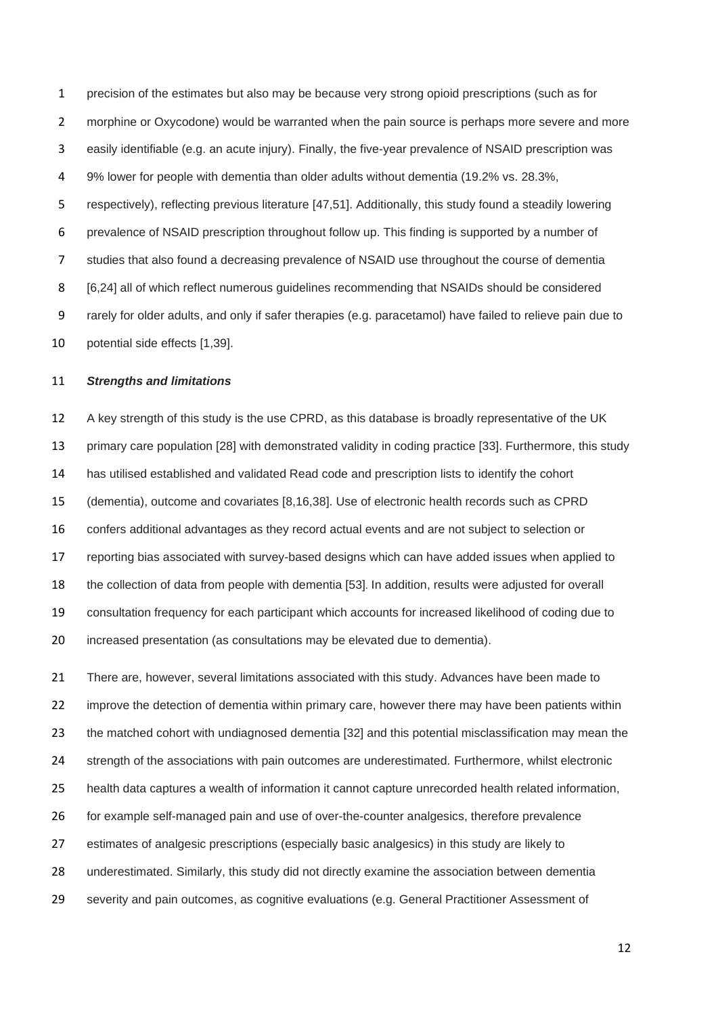precision of the estimates but also may be because very strong opioid prescriptions (such as for morphine or Oxycodone) would be warranted when the pain source is perhaps more severe and more easily identifiable (e.g. an acute injury). Finally, the five-year prevalence of NSAID prescription was 9% lower for people with dementia than older adults without dementia (19.2% vs. 28.3%, respectively), reflecting previous literature [47,51]. Additionally, this study found a steadily lowering prevalence of NSAID prescription throughout follow up. This finding is supported by a number of studies that also found a decreasing prevalence of NSAID use throughout the course of dementia [6,24] all of which reflect numerous guidelines recommending that NSAIDs should be considered rarely for older adults, and only if safer therapies (e.g. paracetamol) have failed to relieve pain due to potential side effects [1,39].

#### *Strengths and limitations*

 A key strength of this study is the use CPRD, as this database is broadly representative of the UK primary care population [28] with demonstrated validity in coding practice [33]. Furthermore, this study has utilised established and validated Read code and prescription lists to identify the cohort (dementia), outcome and covariates [8,16,38]. Use of electronic health records such as CPRD confers additional advantages as they record actual events and are not subject to selection or reporting bias associated with survey-based designs which can have added issues when applied to the collection of data from people with dementia [53]. In addition, results were adjusted for overall consultation frequency for each participant which accounts for increased likelihood of coding due to increased presentation (as consultations may be elevated due to dementia).

 There are, however, several limitations associated with this study. Advances have been made to improve the detection of dementia within primary care, however there may have been patients within the matched cohort with undiagnosed dementia [32] and this potential misclassification may mean the strength of the associations with pain outcomes are underestimated. Furthermore, whilst electronic health data captures a wealth of information it cannot capture unrecorded health related information, for example self-managed pain and use of over-the-counter analgesics, therefore prevalence estimates of analgesic prescriptions (especially basic analgesics) in this study are likely to underestimated. Similarly, this study did not directly examine the association between dementia severity and pain outcomes, as cognitive evaluations (e.g. General Practitioner Assessment of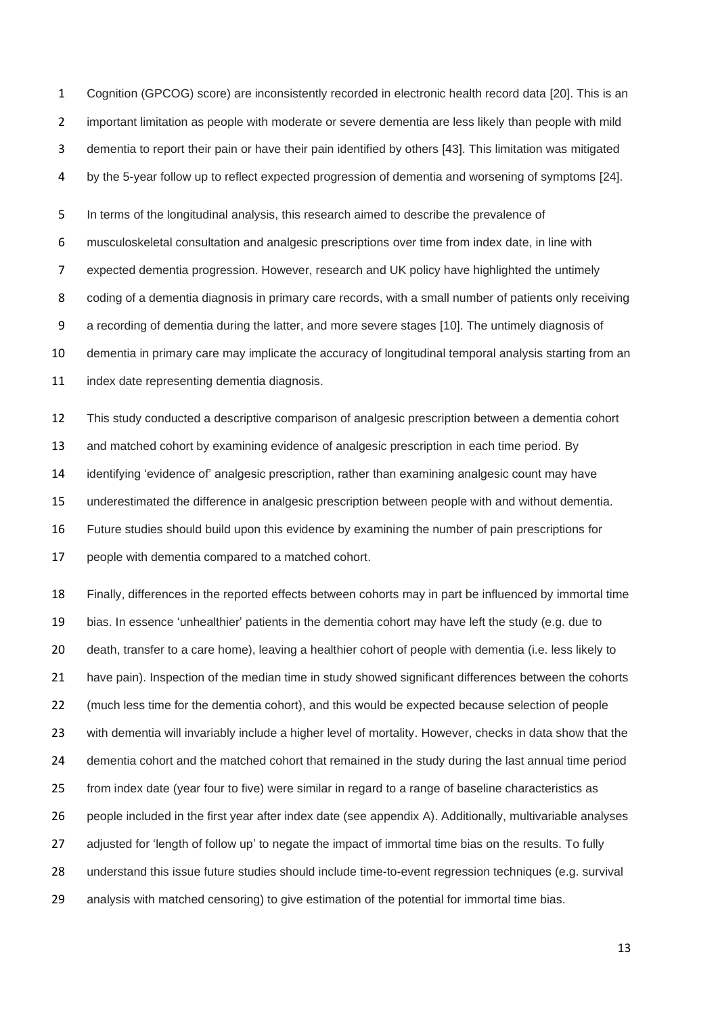Cognition (GPCOG) score) are inconsistently recorded in electronic health record data [20]. This is an important limitation as people with moderate or severe dementia are less likely than people with mild dementia to report their pain or have their pain identified by others [43]. This limitation was mitigated by the 5-year follow up to reflect expected progression of dementia and worsening of symptoms [24].

 In terms of the longitudinal analysis, this research aimed to describe the prevalence of musculoskeletal consultation and analgesic prescriptions over time from index date, in line with expected dementia progression. However, research and UK policy have highlighted the untimely coding of a dementia diagnosis in primary care records, with a small number of patients only receiving a recording of dementia during the latter, and more severe stages [10]. The untimely diagnosis of dementia in primary care may implicate the accuracy of longitudinal temporal analysis starting from an 11 index date representing dementia diagnosis.

 This study conducted a descriptive comparison of analgesic prescription between a dementia cohort and matched cohort by examining evidence of analgesic prescription in each time period. By identifying 'evidence of' analgesic prescription, rather than examining analgesic count may have underestimated the difference in analgesic prescription between people with and without dementia. Future studies should build upon this evidence by examining the number of pain prescriptions for people with dementia compared to a matched cohort.

 Finally, differences in the reported effects between cohorts may in part be influenced by immortal time bias. In essence 'unhealthier' patients in the dementia cohort may have left the study (e.g. due to death, transfer to a care home), leaving a healthier cohort of people with dementia (i.e. less likely to have pain). Inspection of the median time in study showed significant differences between the cohorts (much less time for the dementia cohort), and this would be expected because selection of people with dementia will invariably include a higher level of mortality. However, checks in data show that the dementia cohort and the matched cohort that remained in the study during the last annual time period from index date (year four to five) were similar in regard to a range of baseline characteristics as people included in the first year after index date (see appendix A). Additionally, multivariable analyses 27 adjusted for 'length of follow up' to negate the impact of immortal time bias on the results. To fully understand this issue future studies should include time-to-event regression techniques (e.g. survival analysis with matched censoring) to give estimation of the potential for immortal time bias.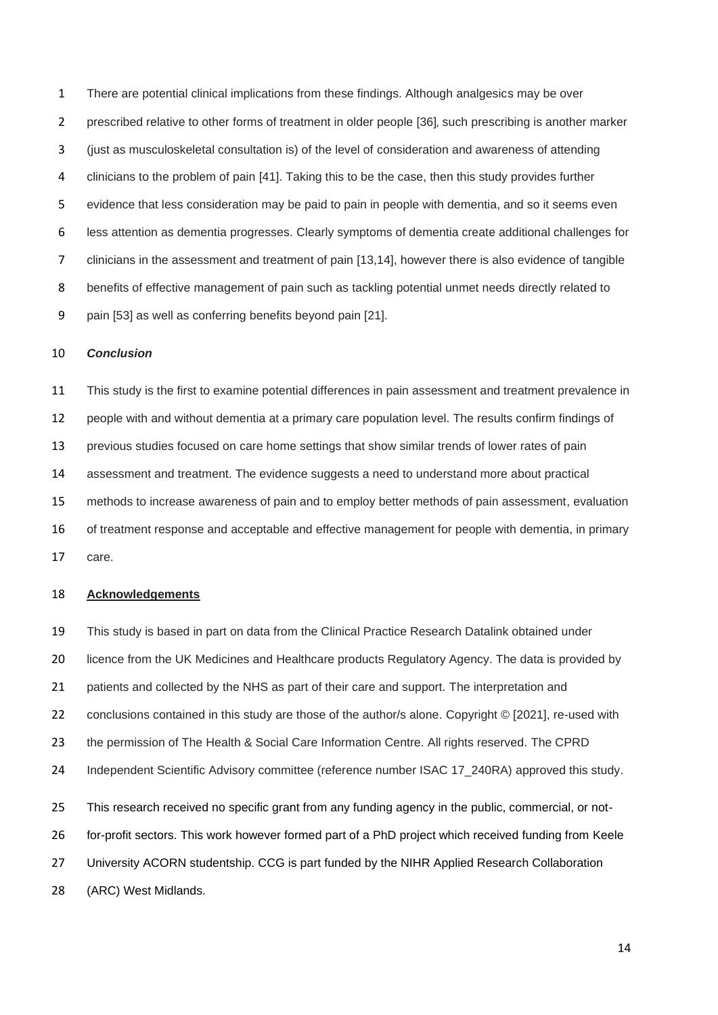There are potential clinical implications from these findings. Although analgesics may be over prescribed relative to other forms of treatment in older people [36], such prescribing is another marker (just as musculoskeletal consultation is) of the level of consideration and awareness of attending clinicians to the problem of pain [41]. Taking this to be the case, then this study provides further evidence that less consideration may be paid to pain in people with dementia, and so it seems even less attention as dementia progresses. Clearly symptoms of dementia create additional challenges for clinicians in the assessment and treatment of pain [13,14], however there is also evidence of tangible benefits of effective management of pain such as tackling potential unmet needs directly related to pain [53] as well as conferring benefits beyond pain [21].

## *Conclusion*

 This study is the first to examine potential differences in pain assessment and treatment prevalence in people with and without dementia at a primary care population level. The results confirm findings of previous studies focused on care home settings that show similar trends of lower rates of pain assessment and treatment. The evidence suggests a need to understand more about practical methods to increase awareness of pain and to employ better methods of pain assessment, evaluation of treatment response and acceptable and effective management for people with dementia, in primary care.

### **Acknowledgements**

 This study is based in part on data from the Clinical Practice Research Datalink obtained under 20 licence from the UK Medicines and Healthcare products Regulatory Agency. The data is provided by 21 patients and collected by the NHS as part of their care and support. The interpretation and conclusions contained in this study are those of the author/s alone. Copyright © [2021], re-used with the permission of The Health & Social Care Information Centre. All rights reserved. The CPRD 24 Independent Scientific Advisory committee (reference number ISAC 17\_240RA) approved this study. This research received no specific grant from any funding agency in the public, commercial, or not- for-profit sectors. This work however formed part of a PhD project which received funding from Keele 27 University ACORN studentship. CCG is part funded by the NIHR Applied Research Collaboration (ARC) West Midlands.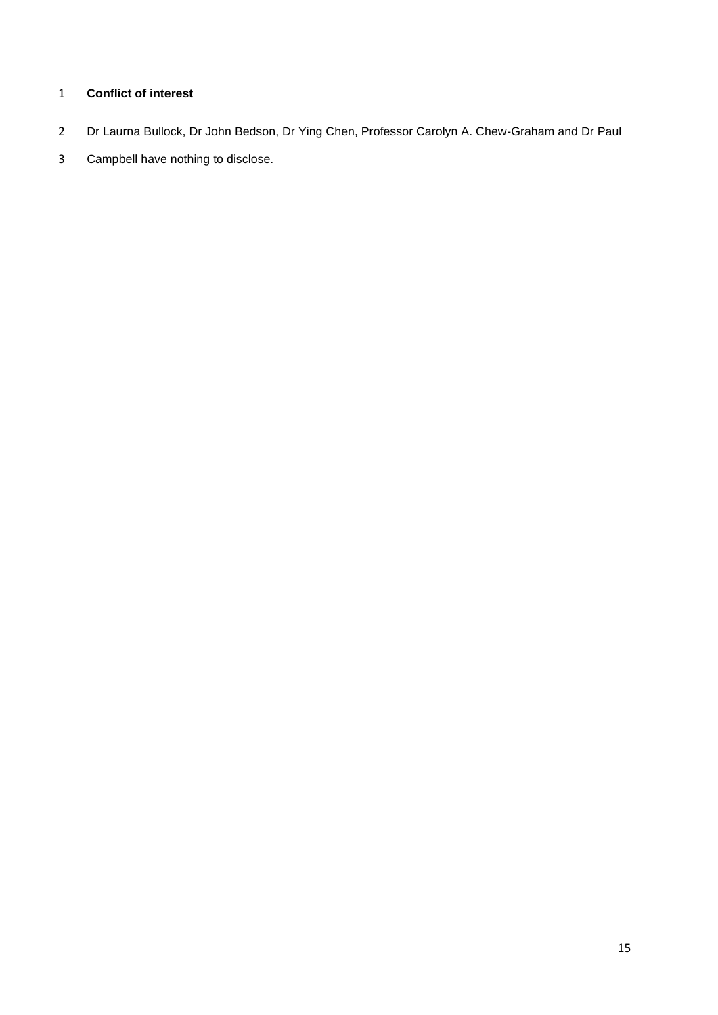# **Conflict of interest**

- Dr Laurna Bullock, Dr John Bedson, Dr Ying Chen, Professor Carolyn A. Chew-Graham and Dr Paul
- Campbell have nothing to disclose.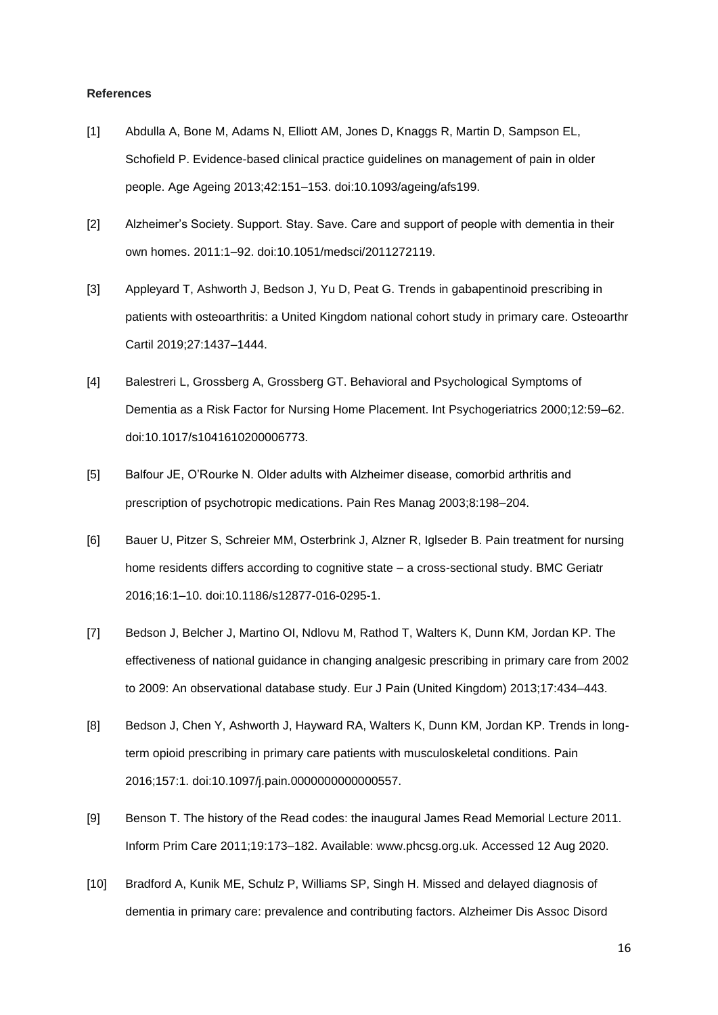#### **References**

- [1] Abdulla A, Bone M, Adams N, Elliott AM, Jones D, Knaggs R, Martin D, Sampson EL, Schofield P. Evidence-based clinical practice guidelines on management of pain in older people. Age Ageing 2013;42:151–153. doi:10.1093/ageing/afs199.
- [2] Alzheimer's Society. Support. Stay. Save. Care and support of people with dementia in their own homes. 2011:1–92. doi:10.1051/medsci/2011272119.
- [3] Appleyard T, Ashworth J, Bedson J, Yu D, Peat G. Trends in gabapentinoid prescribing in patients with osteoarthritis: a United Kingdom national cohort study in primary care. Osteoarthr Cartil 2019;27:1437–1444.
- [4] Balestreri L, Grossberg A, Grossberg GT. Behavioral and Psychological Symptoms of Dementia as a Risk Factor for Nursing Home Placement. Int Psychogeriatrics 2000;12:59–62. doi:10.1017/s1041610200006773.
- [5] Balfour JE, O'Rourke N. Older adults with Alzheimer disease, comorbid arthritis and prescription of psychotropic medications. Pain Res Manag 2003;8:198–204.
- [6] Bauer U, Pitzer S, Schreier MM, Osterbrink J, Alzner R, Iglseder B. Pain treatment for nursing home residents differs according to cognitive state – a cross-sectional study. BMC Geriatr 2016;16:1–10. doi:10.1186/s12877-016-0295-1.
- [7] Bedson J, Belcher J, Martino OI, Ndlovu M, Rathod T, Walters K, Dunn KM, Jordan KP. The effectiveness of national guidance in changing analgesic prescribing in primary care from 2002 to 2009: An observational database study. Eur J Pain (United Kingdom) 2013;17:434–443.
- [8] Bedson J, Chen Y, Ashworth J, Hayward RA, Walters K, Dunn KM, Jordan KP. Trends in longterm opioid prescribing in primary care patients with musculoskeletal conditions. Pain 2016;157:1. doi:10.1097/j.pain.0000000000000557.
- [9] Benson T. The history of the Read codes: the inaugural James Read Memorial Lecture 2011. Inform Prim Care 2011;19:173–182. Available: www.phcsg.org.uk. Accessed 12 Aug 2020.
- [10] Bradford A, Kunik ME, Schulz P, Williams SP, Singh H. Missed and delayed diagnosis of dementia in primary care: prevalence and contributing factors. Alzheimer Dis Assoc Disord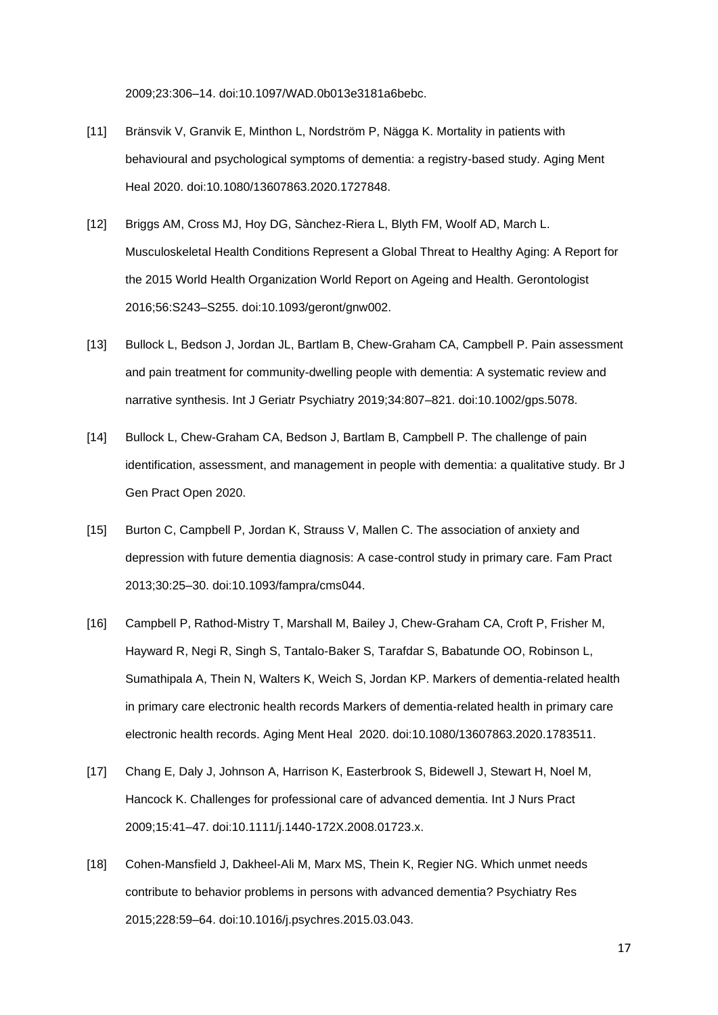2009;23:306–14. doi:10.1097/WAD.0b013e3181a6bebc.

- [11] Bränsvik V, Granvik E, Minthon L, Nordström P, Nägga K. Mortality in patients with behavioural and psychological symptoms of dementia: a registry-based study. Aging Ment Heal 2020. doi:10.1080/13607863.2020.1727848.
- [12] Briggs AM, Cross MJ, Hoy DG, Sànchez-Riera L, Blyth FM, Woolf AD, March L. Musculoskeletal Health Conditions Represent a Global Threat to Healthy Aging: A Report for the 2015 World Health Organization World Report on Ageing and Health. Gerontologist 2016;56:S243–S255. doi:10.1093/geront/gnw002.
- [13] Bullock L, Bedson J, Jordan JL, Bartlam B, Chew-Graham CA, Campbell P. Pain assessment and pain treatment for community-dwelling people with dementia: A systematic review and narrative synthesis. Int J Geriatr Psychiatry 2019;34:807–821. doi:10.1002/gps.5078.
- [14] Bullock L, Chew-Graham CA, Bedson J, Bartlam B, Campbell P. The challenge of pain identification, assessment, and management in people with dementia: a qualitative study. Br J Gen Pract Open 2020.
- [15] Burton C, Campbell P, Jordan K, Strauss V, Mallen C. The association of anxiety and depression with future dementia diagnosis: A case-control study in primary care. Fam Pract 2013;30:25–30. doi:10.1093/fampra/cms044.
- [16] Campbell P, Rathod-Mistry T, Marshall M, Bailey J, Chew-Graham CA, Croft P, Frisher M, Hayward R, Negi R, Singh S, Tantalo-Baker S, Tarafdar S, Babatunde OO, Robinson L, Sumathipala A, Thein N, Walters K, Weich S, Jordan KP. Markers of dementia-related health in primary care electronic health records Markers of dementia-related health in primary care electronic health records. Aging Ment Heal 2020. doi:10.1080/13607863.2020.1783511.
- [17] Chang E, Daly J, Johnson A, Harrison K, Easterbrook S, Bidewell J, Stewart H, Noel M, Hancock K. Challenges for professional care of advanced dementia. Int J Nurs Pract 2009;15:41–47. doi:10.1111/j.1440-172X.2008.01723.x.
- [18] Cohen-Mansfield J, Dakheel-Ali M, Marx MS, Thein K, Regier NG. Which unmet needs contribute to behavior problems in persons with advanced dementia? Psychiatry Res 2015;228:59–64. doi:10.1016/j.psychres.2015.03.043.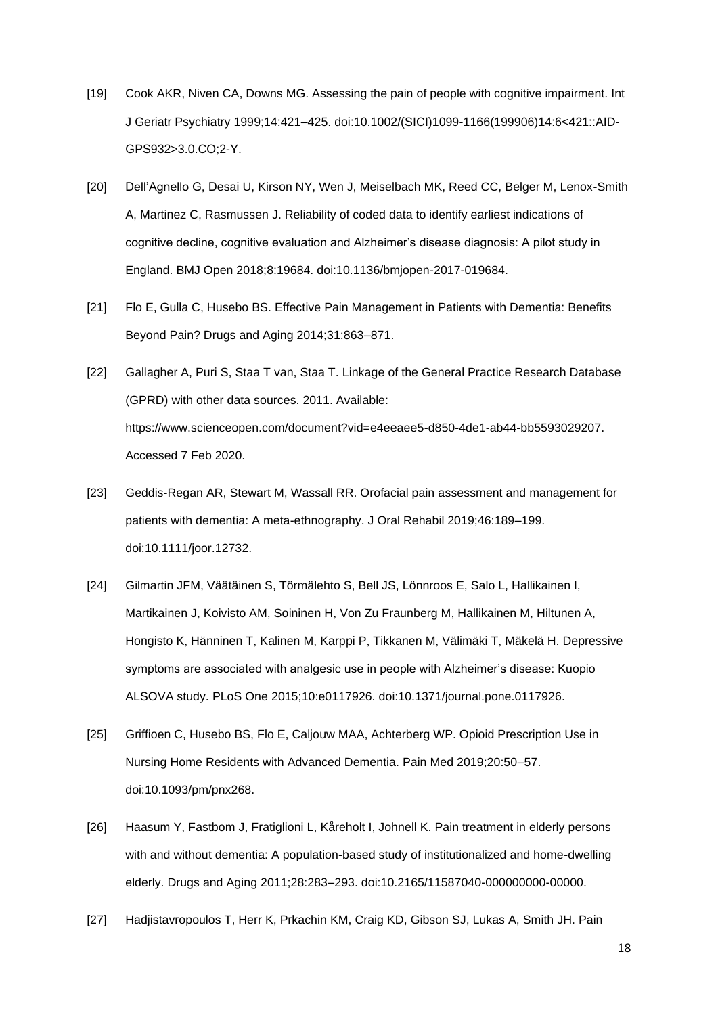- [19] Cook AKR, Niven CA, Downs MG. Assessing the pain of people with cognitive impairment. Int J Geriatr Psychiatry 1999;14:421–425. doi:10.1002/(SICI)1099-1166(199906)14:6<421::AID-GPS932>3.0.CO;2-Y.
- [20] Dell'Agnello G, Desai U, Kirson NY, Wen J, Meiselbach MK, Reed CC, Belger M, Lenox-Smith A, Martinez C, Rasmussen J. Reliability of coded data to identify earliest indications of cognitive decline, cognitive evaluation and Alzheimer's disease diagnosis: A pilot study in England. BMJ Open 2018;8:19684. doi:10.1136/bmjopen-2017-019684.
- [21] Flo E, Gulla C, Husebo BS. Effective Pain Management in Patients with Dementia: Benefits Beyond Pain? Drugs and Aging 2014;31:863–871.
- [22] Gallagher A, Puri S, Staa T van, Staa T. Linkage of the General Practice Research Database (GPRD) with other data sources. 2011. Available: https://www.scienceopen.com/document?vid=e4eeaee5-d850-4de1-ab44-bb5593029207. Accessed 7 Feb 2020.
- [23] Geddis-Regan AR, Stewart M, Wassall RR. Orofacial pain assessment and management for patients with dementia: A meta-ethnography. J Oral Rehabil 2019;46:189–199. doi:10.1111/joor.12732.
- [24] Gilmartin JFM, Väätäinen S, Törmälehto S, Bell JS, Lönnroos E, Salo L, Hallikainen I, Martikainen J, Koivisto AM, Soininen H, Von Zu Fraunberg M, Hallikainen M, Hiltunen A, Hongisto K, Hänninen T, Kalinen M, Karppi P, Tikkanen M, Välimäki T, Mäkelä H. Depressive symptoms are associated with analgesic use in people with Alzheimer's disease: Kuopio ALSOVA study. PLoS One 2015;10:e0117926. doi:10.1371/journal.pone.0117926.
- [25] Griffioen C, Husebo BS, Flo E, Caljouw MAA, Achterberg WP. Opioid Prescription Use in Nursing Home Residents with Advanced Dementia. Pain Med 2019;20:50–57. doi:10.1093/pm/pnx268.
- [26] Haasum Y, Fastbom J, Fratiglioni L, Kåreholt I, Johnell K. Pain treatment in elderly persons with and without dementia: A population-based study of institutionalized and home-dwelling elderly. Drugs and Aging 2011;28:283–293. doi:10.2165/11587040-000000000-00000.
- [27] Hadjistavropoulos T, Herr K, Prkachin KM, Craig KD, Gibson SJ, Lukas A, Smith JH. Pain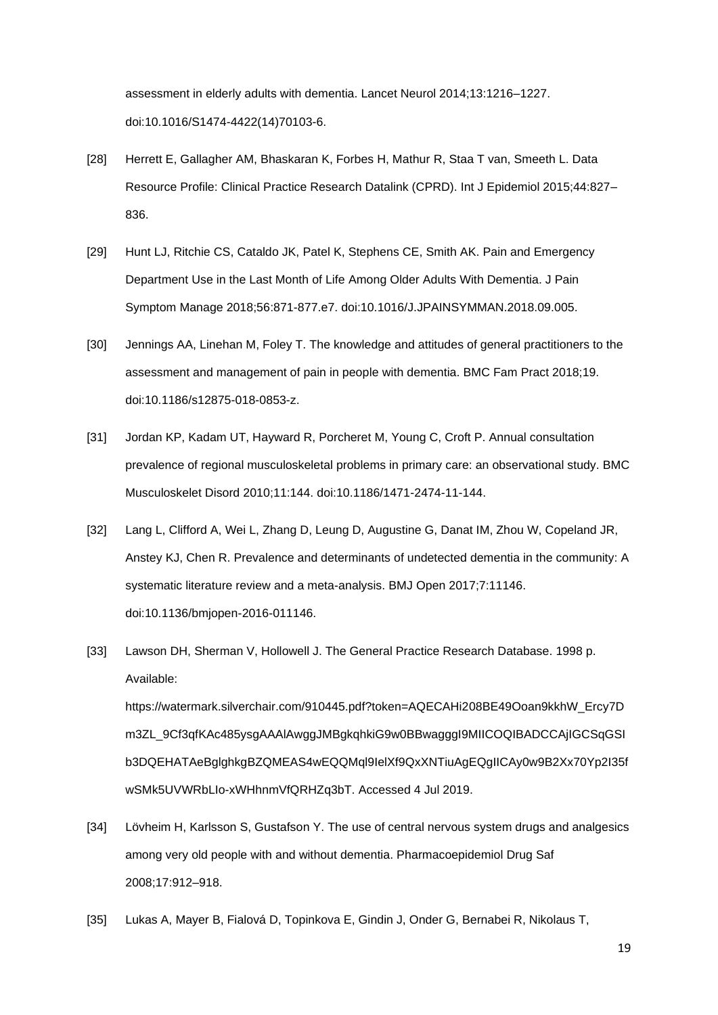assessment in elderly adults with dementia. Lancet Neurol 2014;13:1216–1227. doi:10.1016/S1474-4422(14)70103-6.

- [28] Herrett E, Gallagher AM, Bhaskaran K, Forbes H, Mathur R, Staa T van, Smeeth L. Data Resource Profile: Clinical Practice Research Datalink (CPRD). Int J Epidemiol 2015;44:827– 836.
- [29] Hunt LJ, Ritchie CS, Cataldo JK, Patel K, Stephens CE, Smith AK. Pain and Emergency Department Use in the Last Month of Life Among Older Adults With Dementia. J Pain Symptom Manage 2018;56:871-877.e7. doi:10.1016/J.JPAINSYMMAN.2018.09.005.
- [30] Jennings AA, Linehan M, Foley T. The knowledge and attitudes of general practitioners to the assessment and management of pain in people with dementia. BMC Fam Pract 2018;19. doi:10.1186/s12875-018-0853-z.
- [31] Jordan KP, Kadam UT, Hayward R, Porcheret M, Young C, Croft P. Annual consultation prevalence of regional musculoskeletal problems in primary care: an observational study. BMC Musculoskelet Disord 2010;11:144. doi:10.1186/1471-2474-11-144.
- [32] Lang L, Clifford A, Wei L, Zhang D, Leung D, Augustine G, Danat IM, Zhou W, Copeland JR, Anstey KJ, Chen R. Prevalence and determinants of undetected dementia in the community: A systematic literature review and a meta-analysis. BMJ Open 2017;7:11146. doi:10.1136/bmjopen-2016-011146.
- [33] Lawson DH, Sherman V, Hollowell J. The General Practice Research Database. 1998 p. Available:

https://watermark.silverchair.com/910445.pdf?token=AQECAHi208BE49Ooan9kkhW\_Ercy7D m3ZL\_9Cf3qfKAc485ysgAAAlAwggJMBgkqhkiG9w0BBwagggI9MIICOQIBADCCAjIGCSqGSI b3DQEHATAeBglghkgBZQMEAS4wEQQMql9IelXf9QxXNTiuAgEQgIICAy0w9B2Xx70Yp2I35f wSMk5UVWRbLIo-xWHhnmVfQRHZq3bT. Accessed 4 Jul 2019.

- [34] Lövheim H, Karlsson S, Gustafson Y. The use of central nervous system drugs and analgesics among very old people with and without dementia. Pharmacoepidemiol Drug Saf 2008;17:912–918.
- [35] Lukas A, Mayer B, Fialová D, Topinkova E, Gindin J, Onder G, Bernabei R, Nikolaus T,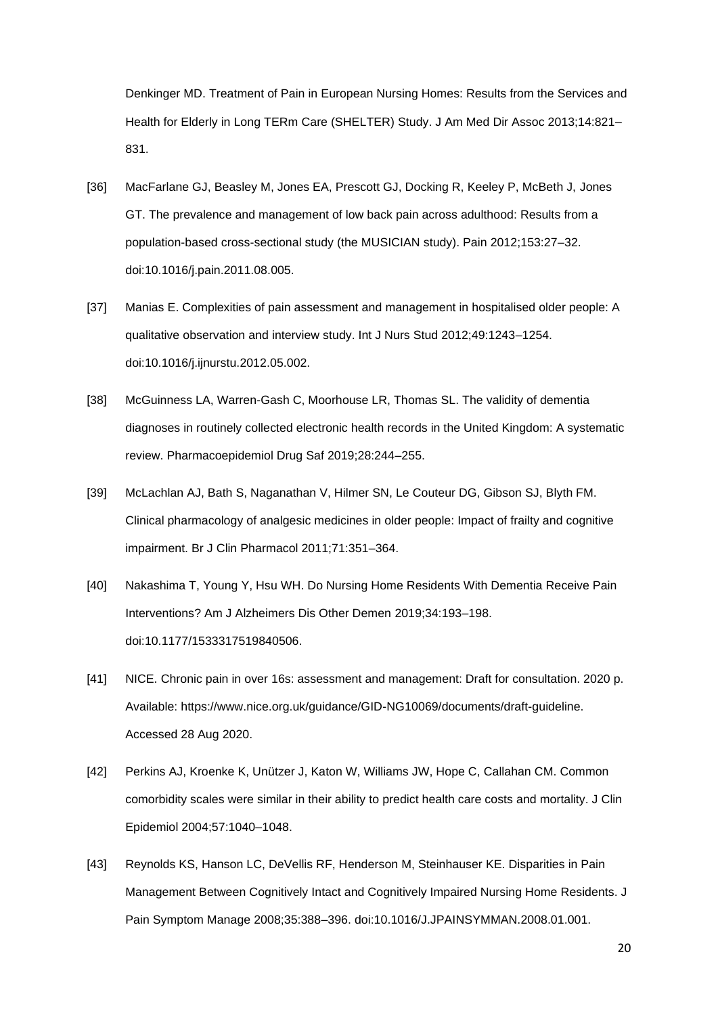Denkinger MD. Treatment of Pain in European Nursing Homes: Results from the Services and Health for Elderly in Long TERm Care (SHELTER) Study. J Am Med Dir Assoc 2013;14:821– 831.

- [36] MacFarlane GJ, Beasley M, Jones EA, Prescott GJ, Docking R, Keeley P, McBeth J, Jones GT. The prevalence and management of low back pain across adulthood: Results from a population-based cross-sectional study (the MUSICIAN study). Pain 2012;153:27–32. doi:10.1016/j.pain.2011.08.005.
- [37] Manias E. Complexities of pain assessment and management in hospitalised older people: A qualitative observation and interview study. Int J Nurs Stud 2012;49:1243–1254. doi:10.1016/j.ijnurstu.2012.05.002.
- [38] McGuinness LA, Warren-Gash C, Moorhouse LR, Thomas SL. The validity of dementia diagnoses in routinely collected electronic health records in the United Kingdom: A systematic review. Pharmacoepidemiol Drug Saf 2019;28:244–255.
- [39] McLachlan AJ, Bath S, Naganathan V, Hilmer SN, Le Couteur DG, Gibson SJ, Blyth FM. Clinical pharmacology of analgesic medicines in older people: Impact of frailty and cognitive impairment. Br J Clin Pharmacol 2011;71:351–364.
- [40] Nakashima T, Young Y, Hsu WH. Do Nursing Home Residents With Dementia Receive Pain Interventions? Am J Alzheimers Dis Other Demen 2019;34:193–198. doi:10.1177/1533317519840506.
- [41] NICE. Chronic pain in over 16s: assessment and management: Draft for consultation. 2020 p. Available: https://www.nice.org.uk/guidance/GID-NG10069/documents/draft-guideline. Accessed 28 Aug 2020.
- [42] Perkins AJ, Kroenke K, Unützer J, Katon W, Williams JW, Hope C, Callahan CM. Common comorbidity scales were similar in their ability to predict health care costs and mortality. J Clin Epidemiol 2004;57:1040–1048.
- [43] Reynolds KS, Hanson LC, DeVellis RF, Henderson M, Steinhauser KE. Disparities in Pain Management Between Cognitively Intact and Cognitively Impaired Nursing Home Residents. J Pain Symptom Manage 2008;35:388–396. doi:10.1016/J.JPAINSYMMAN.2008.01.001.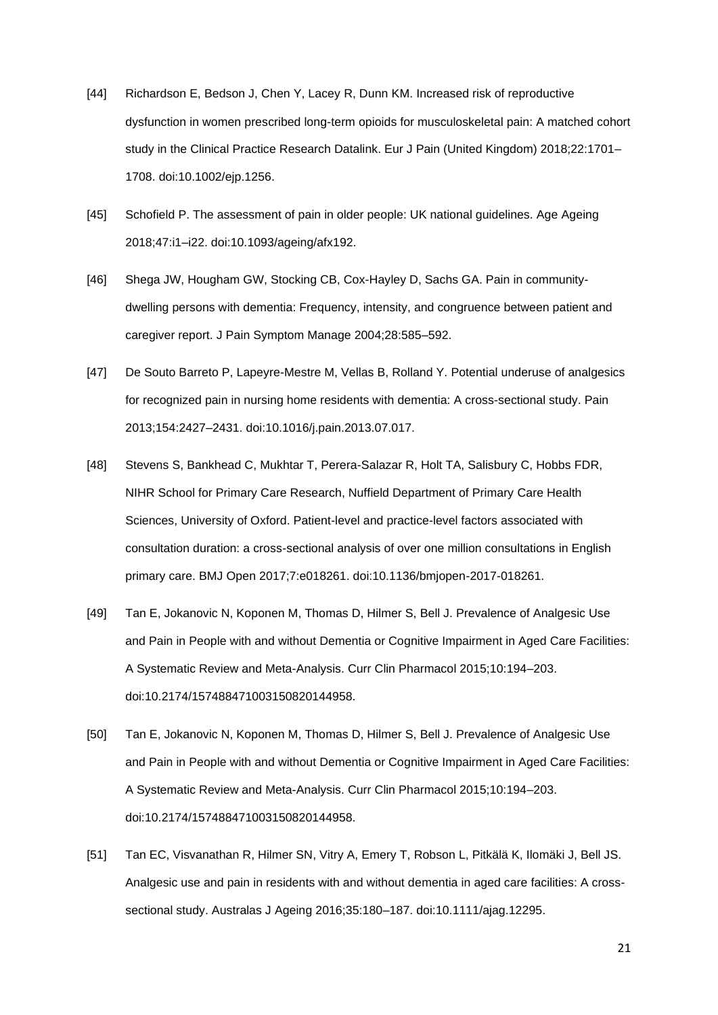- [44] Richardson E, Bedson J, Chen Y, Lacey R, Dunn KM. Increased risk of reproductive dysfunction in women prescribed long-term opioids for musculoskeletal pain: A matched cohort study in the Clinical Practice Research Datalink. Eur J Pain (United Kingdom) 2018;22:1701– 1708. doi:10.1002/ejp.1256.
- [45] Schofield P. The assessment of pain in older people: UK national guidelines. Age Ageing 2018;47:i1–i22. doi:10.1093/ageing/afx192.
- [46] Shega JW, Hougham GW, Stocking CB, Cox-Hayley D, Sachs GA. Pain in communitydwelling persons with dementia: Frequency, intensity, and congruence between patient and caregiver report. J Pain Symptom Manage 2004;28:585–592.
- [47] De Souto Barreto P, Lapeyre-Mestre M, Vellas B, Rolland Y. Potential underuse of analgesics for recognized pain in nursing home residents with dementia: A cross-sectional study. Pain 2013;154:2427–2431. doi:10.1016/j.pain.2013.07.017.
- [48] Stevens S, Bankhead C, Mukhtar T, Perera-Salazar R, Holt TA, Salisbury C, Hobbs FDR, NIHR School for Primary Care Research, Nuffield Department of Primary Care Health Sciences, University of Oxford. Patient-level and practice-level factors associated with consultation duration: a cross-sectional analysis of over one million consultations in English primary care. BMJ Open 2017;7:e018261. doi:10.1136/bmjopen-2017-018261.
- [49] Tan E, Jokanovic N, Koponen M, Thomas D, Hilmer S, Bell J. Prevalence of Analgesic Use and Pain in People with and without Dementia or Cognitive Impairment in Aged Care Facilities: A Systematic Review and Meta-Analysis. Curr Clin Pharmacol 2015;10:194–203. doi:10.2174/157488471003150820144958.
- [50] Tan E, Jokanovic N, Koponen M, Thomas D, Hilmer S, Bell J. Prevalence of Analgesic Use and Pain in People with and without Dementia or Cognitive Impairment in Aged Care Facilities: A Systematic Review and Meta-Analysis. Curr Clin Pharmacol 2015;10:194–203. doi:10.2174/157488471003150820144958.
- [51] Tan EC, Visvanathan R, Hilmer SN, Vitry A, Emery T, Robson L, Pitkälä K, Ilomäki J, Bell JS. Analgesic use and pain in residents with and without dementia in aged care facilities: A crosssectional study. Australas J Ageing 2016;35:180–187. doi:10.1111/ajag.12295.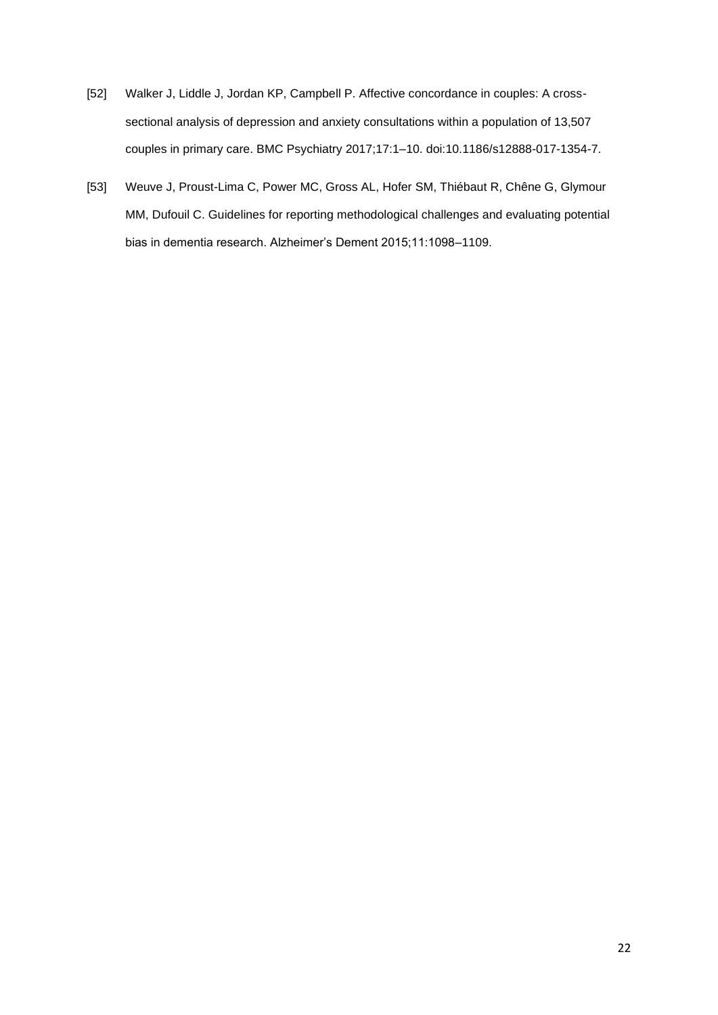- [52] Walker J, Liddle J, Jordan KP, Campbell P. Affective concordance in couples: A crosssectional analysis of depression and anxiety consultations within a population of 13,507 couples in primary care. BMC Psychiatry 2017;17:1–10. doi:10.1186/s12888-017-1354-7.
- [53] Weuve J, Proust-Lima C, Power MC, Gross AL, Hofer SM, Thiébaut R, Chêne G, Glymour MM, Dufouil C. Guidelines for reporting methodological challenges and evaluating potential bias in dementia research. Alzheimer's Dement 2015;11:1098–1109.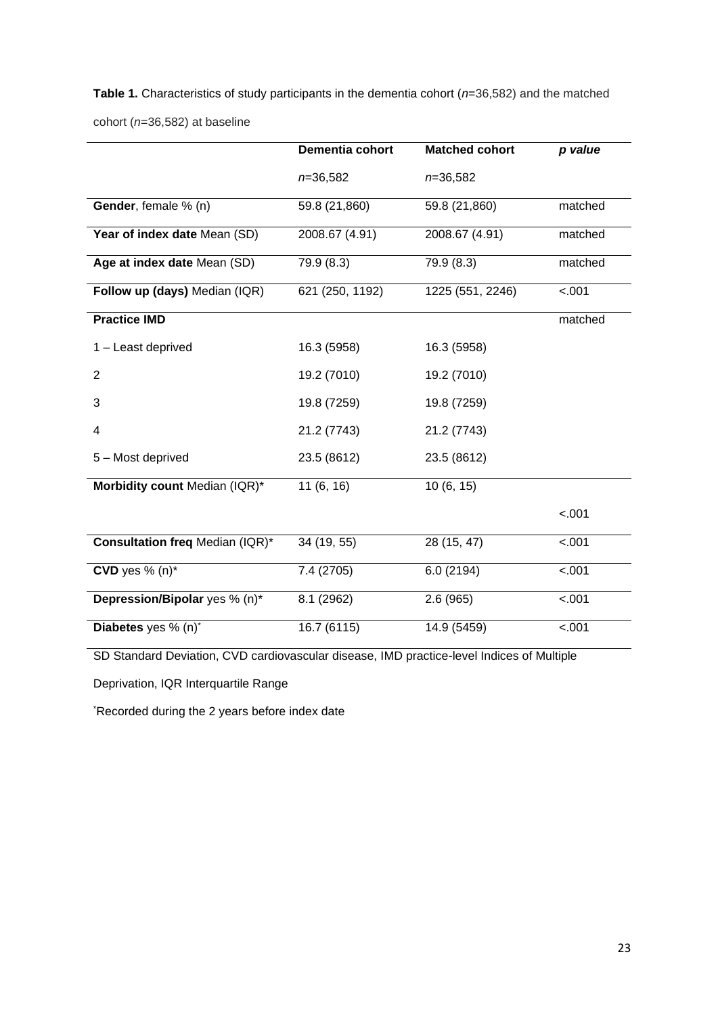**Table 1.** Characteristics of study participants in the dementia cohort (*n*=36,582) and the matched cohort (*n*=36,582) at baseline

|                                        | Dementia cohort | <b>Matched cohort</b> | p value |
|----------------------------------------|-----------------|-----------------------|---------|
|                                        | $n=36,582$      | $n=36,582$            |         |
| Gender, female % (n)                   | 59.8 (21,860)   | 59.8 (21,860)         | matched |
| Year of index date Mean (SD)           | 2008.67 (4.91)  | 2008.67 (4.91)        | matched |
| Age at index date Mean (SD)            | 79.9 (8.3)      | 79.9 (8.3)            | matched |
| Follow up (days) Median (IQR)          | 621 (250, 1192) | 1225 (551, 2246)      | $-.001$ |
| <b>Practice IMD</b>                    |                 |                       | matched |
| 1 - Least deprived                     | 16.3 (5958)     | 16.3 (5958)           |         |
| $\overline{2}$                         | 19.2 (7010)     | 19.2 (7010)           |         |
| 3                                      | 19.8 (7259)     | 19.8 (7259)           |         |
| 4                                      | 21.2 (7743)     | 21.2 (7743)           |         |
| 5 - Most deprived                      | 23.5 (8612)     | 23.5 (8612)           |         |
| Morbidity count Median (IQR)*          | 11(6, 16)       | 10(6, 15)             |         |
|                                        |                 |                       | $-.001$ |
| <b>Consultation freq Median (IQR)*</b> | 34 (19, 55)     | 28 (15, 47)           | $-.001$ |
| CVD yes $% (n)*$                       | 7.4 (2705)      | 6.0(2194)             | $-.001$ |
| Depression/Bipolar yes % (n)*          | 8.1 (2962)      | 2.6(965)              | $-.001$ |
| Diabetes yes % (n)*                    | 16.7 (6115)     | 14.9 (5459)           | $-.001$ |

SD Standard Deviation, CVD cardiovascular disease, IMD practice-level Indices of Multiple

Deprivation, IQR Interquartile Range

\*Recorded during the 2 years before index date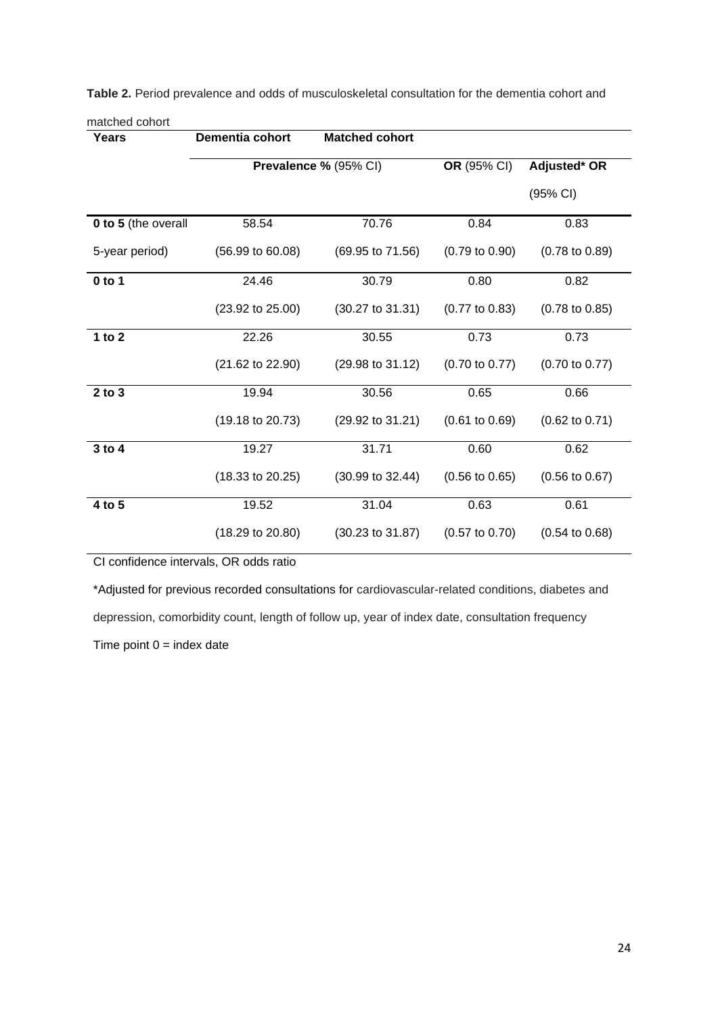| Years               | Dementia cohort             | <b>Matched cohort</b>       |                           |                           |
|---------------------|-----------------------------|-----------------------------|---------------------------|---------------------------|
|                     |                             | Prevalence % (95% CI)       |                           | Adjusted* OR              |
|                     |                             |                             | (95% CI)                  |                           |
| 0 to 5 (the overall | 58.54                       | 70.76                       | 0.84                      | 0.83                      |
| 5-year period)      | $(56.99 \text{ to } 60.08)$ | $(69.95 \text{ to } 71.56)$ | $(0.79 \text{ to } 0.90)$ | $(0.78 \text{ to } 0.89)$ |
| $0$ to 1            | 24.46                       | 30.79                       | 0.80                      | 0.82                      |
|                     | $(23.92 \text{ to } 25.00)$ | $(30.27 \text{ to } 31.31)$ | $(0.77 \text{ to } 0.83)$ | $(0.78 \text{ to } 0.85)$ |
| 1 to $2$            | 22.26                       | 30.55                       | 0.73                      | 0.73                      |
|                     | (21.62 to 22.90)            | $(29.98 \text{ to } 31.12)$ | $(0.70 \text{ to } 0.77)$ | $(0.70 \text{ to } 0.77)$ |
| $2$ to $3$          | 19.94                       | 30.56                       | 0.65                      | 0.66                      |
|                     | $(19.18 \text{ to } 20.73)$ | (29.92 to 31.21)            | $(0.61 \text{ to } 0.69)$ | $(0.62 \text{ to } 0.71)$ |
| 3 to 4              | 19.27                       | 31.71                       | 0.60                      | 0.62                      |
|                     | $(18.33 \text{ to } 20.25)$ | $(30.99 \text{ to } 32.44)$ | $(0.56 \text{ to } 0.65)$ | $(0.56 \text{ to } 0.67)$ |
| 4 to 5              | 19.52                       | 31.04                       | 0.63                      | 0.61                      |
|                     | $(18.29 \text{ to } 20.80)$ | $(30.23 \text{ to } 31.87)$ | $(0.57 \text{ to } 0.70)$ | $(0.54 \text{ to } 0.68)$ |

**Table 2.** Period prevalence and odds of musculoskeletal consultation for the dementia cohort and

CI confidence intervals, OR odds ratio

matched cohort

\*Adjusted for previous recorded consultations for cardiovascular-related conditions, diabetes and depression, comorbidity count, length of follow up, year of index date, consultation frequency Time point  $0 =$  index date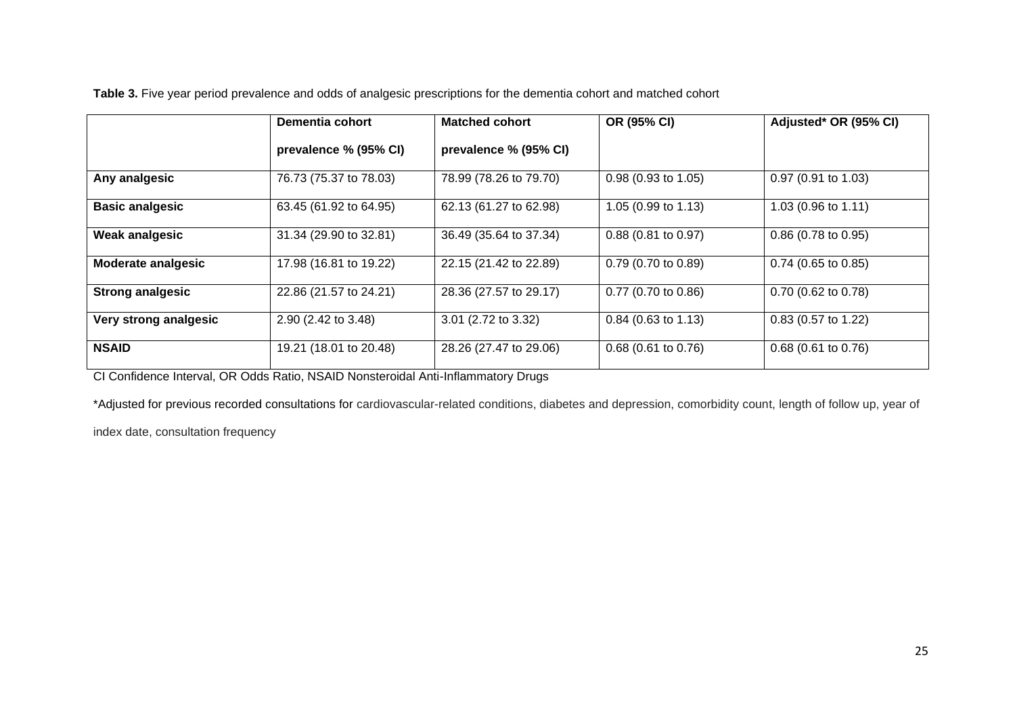**Table 3.** Five year period prevalence and odds of analgesic prescriptions for the dementia cohort and matched cohort

|                           | Dementia cohort        | <b>Matched cohort</b>  | OR (95% CI)                   | Adjusted* OR (95% CI) |
|---------------------------|------------------------|------------------------|-------------------------------|-----------------------|
|                           | prevalence % (95% CI)  | prevalence % (95% CI)  |                               |                       |
| Any analgesic             | 76.73 (75.37 to 78.03) | 78.99 (78.26 to 79.70) | $0.98(0.93 \text{ to } 1.05)$ | $0.97$ (0.91 to 1.03) |
| <b>Basic analgesic</b>    | 63.45 (61.92 to 64.95) | 62.13 (61.27 to 62.98) | 1.05 (0.99 to 1.13)           | 1.03 (0.96 to 1.11)   |
| Weak analgesic            | 31.34 (29.90 to 32.81) | 36.49 (35.64 to 37.34) | $0.88$ (0.81 to 0.97)         | $0.86$ (0.78 to 0.95) |
| <b>Moderate analgesic</b> | 17.98 (16.81 to 19.22) | 22.15 (21.42 to 22.89) | $0.79$ (0.70 to 0.89)         | $0.74$ (0.65 to 0.85) |
| <b>Strong analgesic</b>   | 22.86 (21.57 to 24.21) | 28.36 (27.57 to 29.17) | $0.77$ (0.70 to 0.86)         | $0.70$ (0.62 to 0.78) |
| Very strong analgesic     | 2.90 (2.42 to 3.48)    | 3.01 (2.72 to 3.32)    | $0.84$ (0.63 to 1.13)         | $0.83$ (0.57 to 1.22) |
| <b>NSAID</b>              | 19.21 (18.01 to 20.48) | 28.26 (27.47 to 29.06) | $0.68$ (0.61 to 0.76)         | $0.68$ (0.61 to 0.76) |

CI Confidence Interval, OR Odds Ratio, NSAID Nonsteroidal Anti-Inflammatory Drugs

\*Adjusted for previous recorded consultations for cardiovascular-related conditions, diabetes and depression, comorbidity count, length of follow up, year of

index date, consultation frequency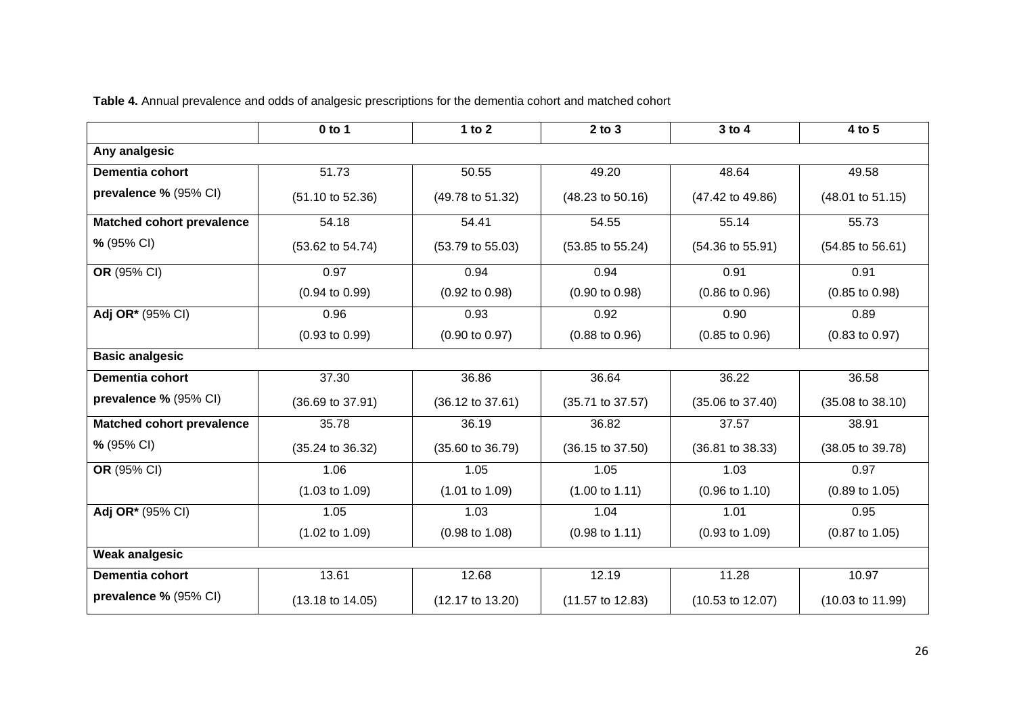|                                  | $0$ to 1                    | 1 to $2$                    | $2$ to $3$                  | 3 to 4                      | 4 to 5                      |  |  |
|----------------------------------|-----------------------------|-----------------------------|-----------------------------|-----------------------------|-----------------------------|--|--|
| Any analgesic                    |                             |                             |                             |                             |                             |  |  |
| <b>Dementia cohort</b>           | 51.73                       | 50.55                       | 49.20                       | 48.64                       | 49.58                       |  |  |
| prevalence % (95% CI)            | $(51.10 \text{ to } 52.36)$ | (49.78 to 51.32)            | $(48.23 \text{ to } 50.16)$ | (47.42 to 49.86)            | $(48.01 \text{ to } 51.15)$ |  |  |
| <b>Matched cohort prevalence</b> | 54.18                       | 54.41                       | 54.55                       | 55.14                       | 55.73                       |  |  |
| % (95% CI)                       | (53.62 to 54.74)            | $(53.79 \text{ to } 55.03)$ | (53.85 to 55.24)            | (54.36 to 55.91)            | $(54.85 \text{ to } 56.61)$ |  |  |
| OR (95% CI)                      | 0.97                        | 0.94                        | 0.94                        | 0.91                        | 0.91                        |  |  |
|                                  | $(0.94 \text{ to } 0.99)$   | $(0.92 \text{ to } 0.98)$   | $(0.90 \text{ to } 0.98)$   | $(0.86 \text{ to } 0.96)$   | $(0.85 \text{ to } 0.98)$   |  |  |
| Adj OR* (95% CI)                 | 0.96                        | 0.93                        | 0.92                        | 0.90                        | 0.89                        |  |  |
|                                  | $(0.93 \text{ to } 0.99)$   | $(0.90 \text{ to } 0.97)$   | $(0.88 \text{ to } 0.96)$   | $(0.85 \text{ to } 0.96)$   | $(0.83 \text{ to } 0.97)$   |  |  |
| <b>Basic analgesic</b>           |                             |                             |                             |                             |                             |  |  |
| <b>Dementia cohort</b>           | 37.30                       | 36.86                       | 36.64                       | 36.22                       | 36.58                       |  |  |
| prevalence % (95% CI)            | (36.69 to 37.91)            | $(36.12 \text{ to } 37.61)$ | $(35.71$ to 37.57)          | $(35.06 \text{ to } 37.40)$ | $(35.08 \text{ to } 38.10)$ |  |  |
| <b>Matched cohort prevalence</b> | 35.78                       | 36.19                       | 36.82                       | 37.57                       | 38.91                       |  |  |
| % (95% CI)                       | (35.24 to 36.32)            | $(35.60 \text{ to } 36.79)$ | $(36.15 \text{ to } 37.50)$ | $(36.81$ to $38.33)$        | (38.05 to 39.78)            |  |  |
| OR (95% CI)                      | 1.06                        | 1.05                        | 1.05                        | 1.03                        | 0.97                        |  |  |
|                                  | $(1.03 \text{ to } 1.09)$   | $(1.01 \text{ to } 1.09)$   | $(1.00 \text{ to } 1.11)$   | $(0.96 \text{ to } 1.10)$   | $(0.89 \text{ to } 1.05)$   |  |  |
| Adj OR* (95% CI)                 | 1.05                        | 1.03                        | 1.04                        | 1.01                        | 0.95                        |  |  |
|                                  | $(1.02 \text{ to } 1.09)$   | $(0.98 \text{ to } 1.08)$   | $(0.98 \text{ to } 1.11)$   | $(0.93 \text{ to } 1.09)$   | $(0.87 \text{ to } 1.05)$   |  |  |
| <b>Weak analgesic</b>            |                             |                             |                             |                             |                             |  |  |
| Dementia cohort                  | 13.61                       | 12.68                       | 12.19                       | 11.28                       | 10.97                       |  |  |
| prevalence % (95% CI)            | $(13.18 \text{ to } 14.05)$ | $(12.17 \text{ to } 13.20)$ | (11.57 to 12.83)            | (10.53 to 12.07)            | $(10.03 \text{ to } 11.99)$ |  |  |

**Table 4.** Annual prevalence and odds of analgesic prescriptions for the dementia cohort and matched cohort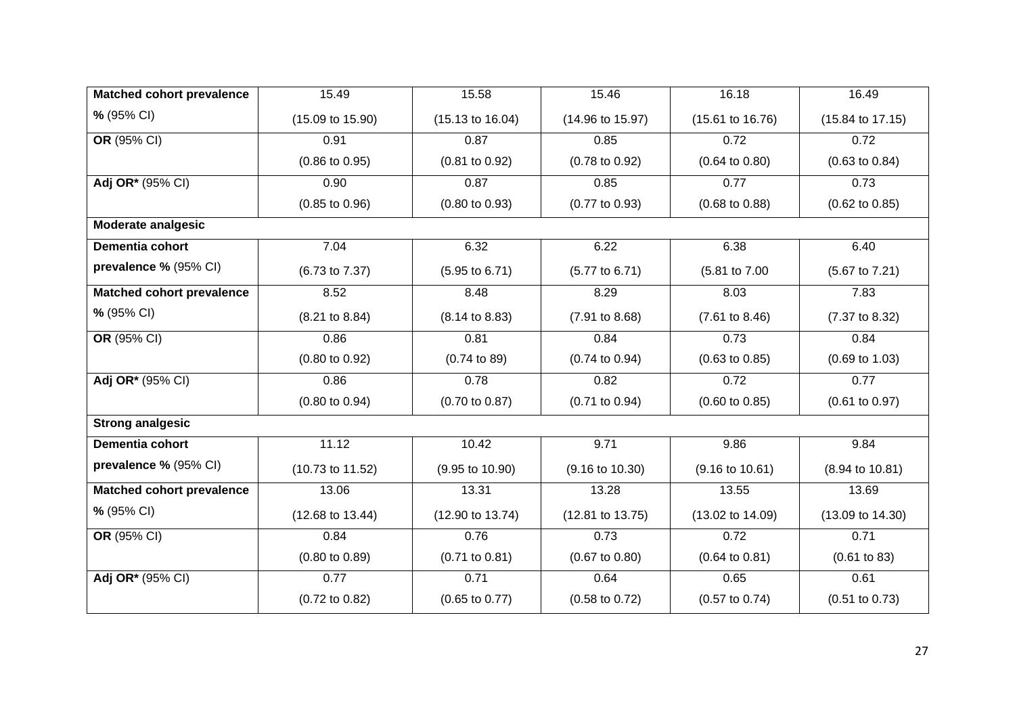| <b>Matched cohort prevalence</b> | 15.49                       | 15.58                       | 15.46                       | 16.18                       | 16.49                       |
|----------------------------------|-----------------------------|-----------------------------|-----------------------------|-----------------------------|-----------------------------|
| % (95% CI)                       | $(15.09 \text{ to } 15.90)$ | $(15.13 \text{ to } 16.04)$ | (14.96 to 15.97)            | $(15.61 \text{ to } 16.76)$ | $(15.84 \text{ to } 17.15)$ |
| OR (95% CI)                      | 0.91                        | 0.87                        | 0.85                        | 0.72                        | 0.72                        |
|                                  | $(0.86 \text{ to } 0.95)$   | $(0.81$ to $0.92)$          | $(0.78 \text{ to } 0.92)$   | $(0.64 \text{ to } 0.80)$   | $(0.63 \text{ to } 0.84)$   |
| Adj OR* (95% CI)                 | 0.90                        | 0.87                        | 0.85                        | 0.77                        | 0.73                        |
|                                  | $(0.85 \text{ to } 0.96)$   | $(0.80 \text{ to } 0.93)$   | $(0.77$ to $0.93)$          | $(0.68 \text{ to } 0.88)$   | $(0.62 \text{ to } 0.85)$   |
| <b>Moderate analgesic</b>        |                             |                             |                             |                             |                             |
| Dementia cohort                  | 7.04                        | 6.32                        | 6.22                        | 6.38                        | 6.40                        |
| prevalence % (95% CI)            | (6.73 to 7.37)              | $(5.95 \text{ to } 6.71)$   | $(5.77$ to 6.71)            | (5.81 to 7.00               | $(5.67 \text{ to } 7.21)$   |
| <b>Matched cohort prevalence</b> | 8.52                        | 8.48                        | 8.29                        | 8.03                        | 7.83                        |
| % (95% CI)                       | $(8.21 \text{ to } 8.84)$   | $(8.14 \text{ to } 8.83)$   | (7.91 to 8.68)              | $(7.61 \text{ to } 8.46)$   | (7.37 to 8.32)              |
| OR (95% CI)                      | 0.86                        | 0.81                        | 0.84                        | 0.73                        | 0.84                        |
|                                  | $(0.80 \text{ to } 0.92)$   | $(0.74 \text{ to } 89)$     | $(0.74 \text{ to } 0.94)$   | $(0.63 \text{ to } 0.85)$   | $(0.69 \text{ to } 1.03)$   |
| Adj OR* (95% CI)                 | 0.86                        | 0.78                        | 0.82                        | 0.72                        | 0.77                        |
|                                  | $(0.80 \text{ to } 0.94)$   | $(0.70 \text{ to } 0.87)$   | $(0.71$ to $0.94)$          | $(0.60 \text{ to } 0.85)$   | $(0.61 \text{ to } 0.97)$   |
| <b>Strong analgesic</b>          |                             |                             |                             |                             |                             |
| Dementia cohort                  | 11.12                       | 10.42                       | 9.71                        | 9.86                        | 9.84                        |
| prevalence % (95% CI)            | (10.73 to 11.52)            | $(9.95 \text{ to } 10.90)$  | $(9.16 \text{ to } 10.30)$  | $(9.16 \text{ to } 10.61)$  | $(8.94 \text{ to } 10.81)$  |
| <b>Matched cohort prevalence</b> | 13.06                       | 13.31                       | 13.28                       | 13.55                       | 13.69                       |
| % (95% CI)                       | $(12.68 \text{ to } 13.44)$ | $(12.90 \text{ to } 13.74)$ | $(12.81 \text{ to } 13.75)$ | $(13.02 \text{ to } 14.09)$ | (13.09 to 14.30)            |
| OR (95% CI)                      | 0.84                        | 0.76                        | 0.73                        | 0.72                        | 0.71                        |
|                                  | $(0.80 \text{ to } 0.89)$   | $(0.71$ to $0.81)$          | $(0.67 \text{ to } 0.80)$   | $(0.64 \text{ to } 0.81)$   | (0.61 to 83)                |
| Adj OR* (95% CI)                 | 0.77                        | 0.71                        | 0.64                        | 0.65                        | 0.61                        |
|                                  | $(0.72 \text{ to } 0.82)$   | $(0.65 \text{ to } 0.77)$   | $(0.58 \text{ to } 0.72)$   | $(0.57 \text{ to } 0.74)$   | $(0.51$ to $0.73)$          |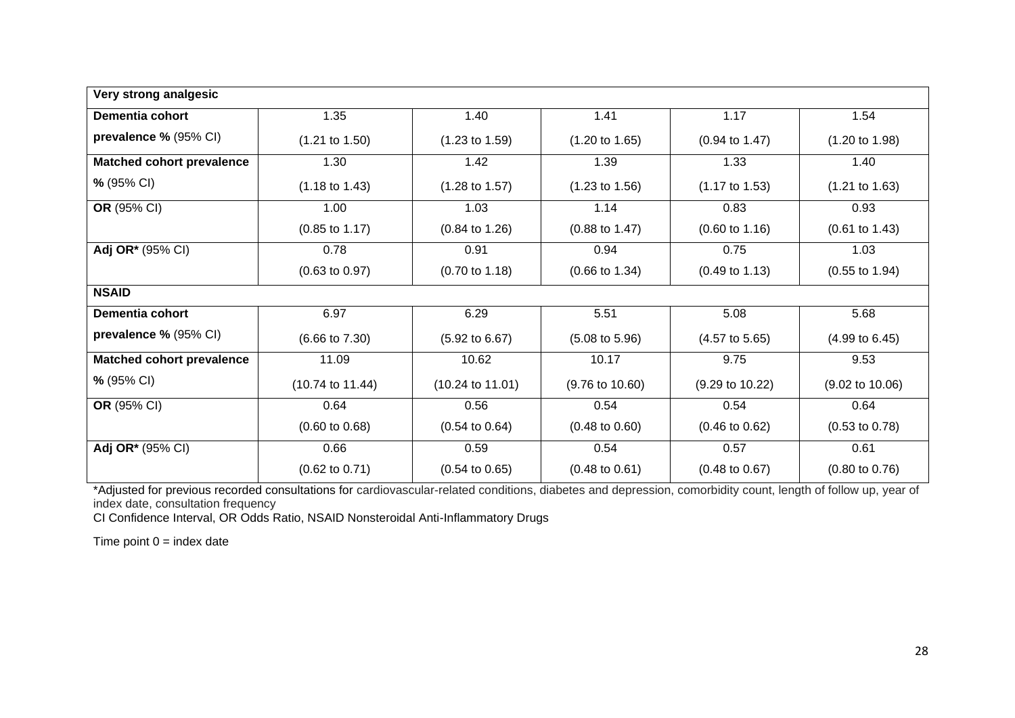| Very strong analgesic            |                             |                             |                            |                            |                            |  |
|----------------------------------|-----------------------------|-----------------------------|----------------------------|----------------------------|----------------------------|--|
| Dementia cohort                  | 1.35                        | 1.40                        | 1.41                       | 1.17                       | 1.54                       |  |
| prevalence % (95% CI)            | $(1.21 \text{ to } 1.50)$   | $(1.23 \text{ to } 1.59)$   | $(1.20 \text{ to } 1.65)$  | $(0.94 \text{ to } 1.47)$  | $(1.20 \text{ to } 1.98)$  |  |
| <b>Matched cohort prevalence</b> | 1.30                        | 1.42                        | 1.39                       | 1.33                       | 1.40                       |  |
| % (95% CI)                       | $(1.18 \text{ to } 1.43)$   | $(1.28 \text{ to } 1.57)$   | $(1.23 \text{ to } 1.56)$  | $(1.17 \text{ to } 1.53)$  | $(1.21 \text{ to } 1.63)$  |  |
| OR (95% CI)                      | 1.00                        | 1.03                        | 1.14                       | 0.83                       | 0.93                       |  |
|                                  | $(0.85 \text{ to } 1.17)$   | $(0.84 \text{ to } 1.26)$   | $(0.88 \text{ to } 1.47)$  | $(0.60 \text{ to } 1.16)$  | $(0.61 \text{ to } 1.43)$  |  |
| Adj OR* (95% CI)                 | 0.78                        | 0.91                        | 0.94                       | 0.75                       | 1.03                       |  |
|                                  | $(0.63 \text{ to } 0.97)$   | $(0.70 \text{ to } 1.18)$   | $(0.66 \text{ to } 1.34)$  | $(0.49 \text{ to } 1.13)$  | $(0.55 \text{ to } 1.94)$  |  |
| <b>NSAID</b>                     |                             |                             |                            |                            |                            |  |
| Dementia cohort                  | 6.97                        | 6.29                        | 5.51                       | 5.08                       | 5.68                       |  |
| prevalence % (95% CI)            | $(6.66 \text{ to } 7.30)$   | $(5.92 \text{ to } 6.67)$   | $(5.08 \text{ to } 5.96)$  | $(4.57 \text{ to } 5.65)$  | $(4.99 \text{ to } 6.45)$  |  |
| <b>Matched cohort prevalence</b> | 11.09                       | 10.62                       | 10.17                      | 9.75                       | 9.53                       |  |
| % (95% CI)                       | $(10.74 \text{ to } 11.44)$ | $(10.24 \text{ to } 11.01)$ | $(9.76 \text{ to } 10.60)$ | $(9.29 \text{ to } 10.22)$ | $(9.02 \text{ to } 10.06)$ |  |
| OR (95% CI)                      | 0.64                        | 0.56                        | 0.54                       | 0.54                       | 0.64                       |  |
|                                  | $(0.60 \text{ to } 0.68)$   | $(0.54 \text{ to } 0.64)$   | $(0.48 \text{ to } 0.60)$  | $(0.46 \text{ to } 0.62)$  | $(0.53 \text{ to } 0.78)$  |  |
| Adj OR* (95% CI)                 | 0.66                        | 0.59                        | 0.54                       | 0.57                       | 0.61                       |  |
|                                  | $(0.62 \text{ to } 0.71)$   | $(0.54 \text{ to } 0.65)$   | $(0.48 \text{ to } 0.61)$  | $(0.48 \text{ to } 0.67)$  | $(0.80 \text{ to } 0.76)$  |  |

\*Adjusted for previous recorded consultations for cardiovascular-related conditions, diabetes and depression, comorbidity count, length of follow up, year of index date, consultation frequency

CI Confidence Interval, OR Odds Ratio, NSAID Nonsteroidal Anti-Inflammatory Drugs

Time point  $0 =$  index date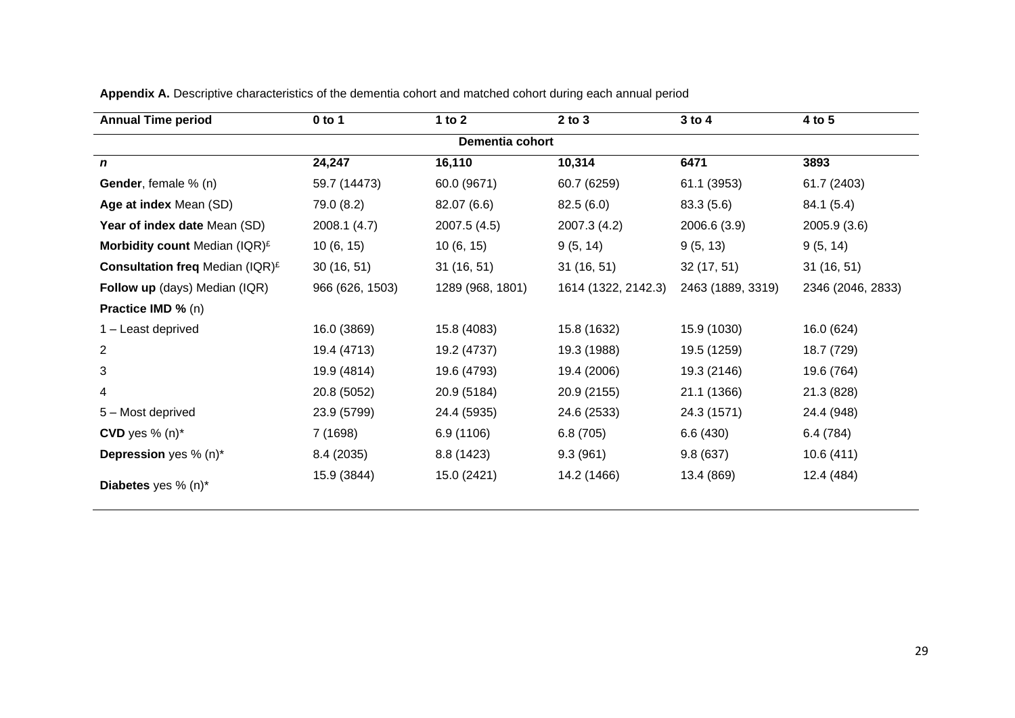| <b>Annual Time period</b>                          | $0$ to 1        | 1 to $2$         | $2$ to $3$          | $3$ to $4$        | 4 to 5            |
|----------------------------------------------------|-----------------|------------------|---------------------|-------------------|-------------------|
|                                                    |                 | Dementia cohort  |                     |                   |                   |
| $\boldsymbol{n}$                                   | 24,247          | 16,110           | 10,314              | 6471              | 3893              |
| Gender, female % (n)                               | 59.7 (14473)    | 60.0 (9671)      | 60.7 (6259)         | 61.1 (3953)       | 61.7 (2403)       |
| Age at index Mean (SD)                             | 79.0 (8.2)      | 82.07 (6.6)      | 82.5(6.0)           | 83.3(5.6)         | 84.1 (5.4)        |
| Year of index date Mean (SD)                       | 2008.1 (4.7)    | 2007.5(4.5)      | 2007.3 (4.2)        | 2006.6 (3.9)      | 2005.9 (3.6)      |
| Morbidity count Median (IQR) $E$                   | 10(6, 15)       | 10(6, 15)        | 9(5, 14)            | 9(5, 13)          | 9(5, 14)          |
| <b>Consultation freq Median (IQR)</b> <sup>£</sup> | 30(16, 51)      | 31(16, 51)       | 31(16, 51)          | 32(17, 51)        | 31(16, 51)        |
| Follow up (days) Median (IQR)                      | 966 (626, 1503) | 1289 (968, 1801) | 1614 (1322, 2142.3) | 2463 (1889, 3319) | 2346 (2046, 2833) |
| Practice IMD % (n)                                 |                 |                  |                     |                   |                   |
| 1 - Least deprived                                 | 16.0 (3869)     | 15.8 (4083)      | 15.8 (1632)         | 15.9 (1030)       | 16.0 (624)        |
| $\overline{2}$                                     | 19.4 (4713)     | 19.2 (4737)      | 19.3 (1988)         | 19.5 (1259)       | 18.7 (729)        |
| 3                                                  | 19.9 (4814)     | 19.6 (4793)      | 19.4 (2006)         | 19.3 (2146)       | 19.6 (764)        |
| 4                                                  | 20.8 (5052)     | 20.9 (5184)      | 20.9 (2155)         | 21.1 (1366)       | 21.3 (828)        |
| 5 - Most deprived                                  | 23.9 (5799)     | 24.4 (5935)      | 24.6 (2533)         | 24.3 (1571)       | 24.4 (948)        |
| CVD yes $% (n)*$                                   | 7 (1698)        | 6.9 (1106)       | 6.8(705)            | 6.6(430)          | 6.4(784)          |
| Depression yes % (n)*                              | 8.4 (2035)      | 8.8(1423)        | 9.3(961)            | 9.8(637)          | 10.6(411)         |
| Diabetes yes % (n)*                                | 15.9 (3844)     | 15.0 (2421)      | 14.2 (1466)         | 13.4 (869)        | 12.4 (484)        |

**Appendix A.** Descriptive characteristics of the dementia cohort and matched cohort during each annual period